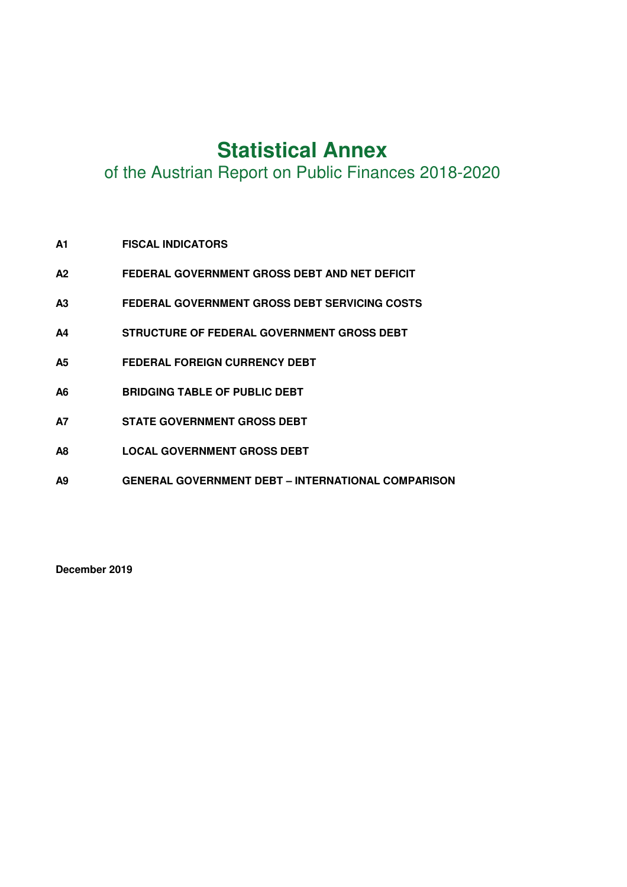# **Statistical Annex**

of the Austrian Report on Public Finances 2018-2020

- **A1 FISCAL INDICATORS**
- **A2 FEDERAL GOVERNMENT GROSS DEBT AND NET DEFICIT**
- **A3 FEDERAL GOVERNMENT GROSS DEBT SERVICING COSTS**
- **A4 STRUCTURE OF FEDERAL GOVERNMENT GROSS DEBT**
- **A5 FEDERAL FOREIGN CURRENCY DEBT**
- **A6 BRIDGING TABLE OF PUBLIC DEBT**
- **A7 STATE GOVERNMENT GROSS DEBT**
- **A8 LOCAL GOVERNMENT GROSS DEBT**
- **A9 GENERAL GOVERNMENT DEBT INTERNATIONAL COMPARISON**

**December 2019**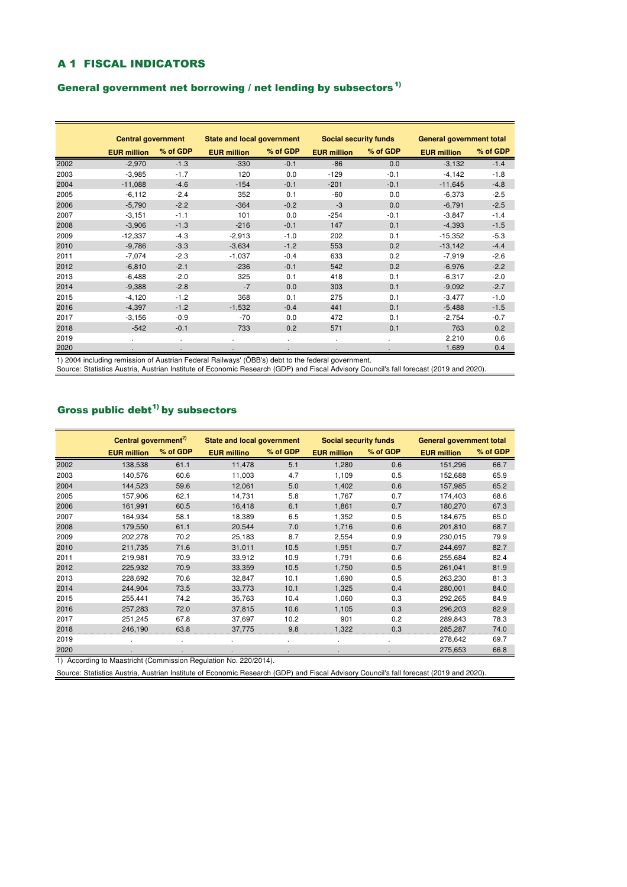### A 1 FISCAL INDICATORS

## General government net borrowing / net lending by subsectors<sup>1)</sup>

|      | <b>Central government</b> |            | <b>State and local government</b> |          | <b>Social security funds</b> |              | General government total |          |  |
|------|---------------------------|------------|-----------------------------------|----------|------------------------------|--------------|--------------------------|----------|--|
|      | <b>EUR million</b>        | % of GDP   | <b>EUR million</b>                | % of GDP | <b>EUR million</b>           | % of GDP     | <b>EUR million</b>       | % of GDP |  |
| 2002 | $-2,970$                  | $-1.3$     | $-330$                            | $-0.1$   | $-86$                        | 0.0          | $-3,132$                 | $-1.4$   |  |
| 2003 | $-3,985$                  | $-1.7$     | 120                               | 0.0      | $-129$                       | $-0.1$       | $-4,142$                 | $-1.8$   |  |
| 2004 | $-11,088$                 | $-4.6$     | $-154$                            | $-0.1$   | $-201$                       | $-0.1$       | $-11,645$                | $-4.8$   |  |
| 2005 | $-6, 112$                 | $-2.4$     | 352                               | 0.1      | $-60$                        | 0.0          | $-6,373$                 | $-2.5$   |  |
| 2006 | $-5,790$                  | $-2.2$     | $-364$                            | $-0.2$   | -3                           | 0.0          | $-6,791$                 | $-2.5$   |  |
| 2007 | $-3,151$                  | $-1.1$     | 101                               | 0.0      | $-254$                       | $-0.1$       | $-3,847$                 | $-1.4$   |  |
| 2008 | $-3,906$                  | $-1.3$     | $-216$                            | $-0.1$   | 147                          | 0.1          | $-4,393$                 | $-1.5$   |  |
| 2009 | $-12,337$                 | $-4.3$     | $-2,913$                          | $-1.0$   | 202                          | 0.1          | $-15,352$                | $-5.3$   |  |
| 2010 | $-9,786$                  | $-3.3$     | $-3,634$                          | $-1.2$   | 553                          | 0.2          | $-13,142$                | $-4.4$   |  |
| 2011 | $-7,074$                  | $-2.3$     | $-1,037$                          | $-0.4$   | 633                          | 0.2          | $-7,919$                 | $-2.6$   |  |
| 2012 | $-6,810$                  | $-2.1$     | $-236$                            | $-0.1$   | 542                          | 0.2          | $-6,976$                 | $-2.2$   |  |
| 2013 | $-6,488$                  | $-2.0$     | 325                               | 0.1      | 418                          | 0.1          | $-6,317$                 | $-2.0$   |  |
| 2014 | $-9,388$                  | $-2.8$     | $-7$                              | 0.0      | 303                          | 0.1          | $-9,092$                 | $-2.7$   |  |
| 2015 | $-4,120$                  | $-1.2$     | 368                               | 0.1      | 275                          | 0.1          | $-3,477$                 | $-1.0$   |  |
| 2016 | $-4,397$                  | $-1.2$     | $-1,532$                          | $-0.4$   | 441                          | 0.1          | $-5,488$                 | $-1.5$   |  |
| 2017 | $-3,156$                  | $-0.9$     | $-70$                             | 0.0      | 472                          | 0.1          | $-2,754$                 | $-0.7$   |  |
| 2018 | $-542$                    | $-0.1$     | 733                               | 0.2      | 571                          | 0.1          | 763                      | 0.2      |  |
| 2019 |                           |            |                                   |          |                              |              | 2,210                    | 0.6      |  |
| 2020 | ٠                         | $\epsilon$ |                                   |          |                              | $\mathbf{r}$ | 1,689                    | 0.4      |  |

1) 2004 including remission of Austrian Federal Railways' (ÖBB's) debt to the federal government.

Source: Statistics Austria, Austrian Institute of Economic Research (GDP) and Fiscal Advisory Council's fall forecast (2019 and 2020).

## Gross public debt $^{1)}$  by subsectors

|      | Central government <sup>2)</sup>                                 |          | <b>State and local government</b> |          | <b>Social security funds</b> |          | General government total |          |  |  |  |  |
|------|------------------------------------------------------------------|----------|-----------------------------------|----------|------------------------------|----------|--------------------------|----------|--|--|--|--|
|      | <b>EUR million</b>                                               | % of GDP | <b>EUR millino</b>                | % of GDP | <b>EUR million</b>           | % of GDP | <b>EUR million</b>       | % of GDP |  |  |  |  |
| 2002 | 138,538                                                          | 61.1     | 11,478                            | 5.1      | 1,280                        | 0.6      | 151,296                  | 66.7     |  |  |  |  |
| 2003 | 140,576                                                          | 60.6     | 11,003                            | 4.7      | 1,109                        | 0.5      | 152,688                  | 65.9     |  |  |  |  |
| 2004 | 144,523                                                          | 59.6     | 12,061                            | 5.0      | 1,402                        | 0.6      | 157,985                  | 65.2     |  |  |  |  |
| 2005 | 157,906                                                          | 62.1     | 14,731                            | 5.8      | 1,767                        | 0.7      | 174,403                  | 68.6     |  |  |  |  |
| 2006 | 161,991                                                          | 60.5     | 16,418                            | 6.1      | 1,861                        | 0.7      | 180,270                  | 67.3     |  |  |  |  |
| 2007 | 164,934                                                          | 58.1     | 18,389                            | 6.5      | 1,352                        | 0.5      | 184,675                  | 65.0     |  |  |  |  |
| 2008 | 179,550                                                          | 61.1     | 20,544                            | 7.0      | 1,716                        | 0.6      | 201,810                  | 68.7     |  |  |  |  |
| 2009 | 202,278                                                          | 70.2     | 25,183                            | 8.7      | 2,554                        | 0.9      | 230,015                  | 79.9     |  |  |  |  |
| 2010 | 211,735                                                          | 71.6     | 31,011                            | 10.5     | 1,951                        | 0.7      | 244,697                  | 82.7     |  |  |  |  |
| 2011 | 219,981                                                          | 70.9     | 33,912                            | 10.9     | 1,791                        | 0.6      | 255,684                  | 82.4     |  |  |  |  |
| 2012 | 225,932                                                          | 70.9     | 33,359                            | 10.5     | 1,750                        | 0.5      | 261,041                  | 81.9     |  |  |  |  |
| 2013 | 228,692                                                          | 70.6     | 32,847                            | 10.1     | 1,690                        | 0.5      | 263,230                  | 81.3     |  |  |  |  |
| 2014 | 244,904                                                          | 73.5     | 33,773                            | 10.1     | 1,325                        | 0.4      | 280,001                  | 84.0     |  |  |  |  |
| 2015 | 255,441                                                          | 74.2     | 35,763                            | 10.4     | 1,060                        | 0.3      | 292,265                  | 84.9     |  |  |  |  |
| 2016 | 257,283                                                          | 72.0     | 37,815                            | 10.6     | 1,105                        | 0.3      | 296,203                  | 82.9     |  |  |  |  |
| 2017 | 251,245                                                          | 67.8     | 37,697                            | 10.2     | 901                          | 0.2      | 289,843                  | 78.3     |  |  |  |  |
| 2018 | 246,190                                                          | 63.8     | 37,775                            | 9.8      | 1,322                        | 0.3      | 285,287                  | 74.0     |  |  |  |  |
| 2019 |                                                                  |          |                                   |          |                              |          | 278,642                  | 69.7     |  |  |  |  |
| 2020 |                                                                  |          |                                   |          |                              |          | 275,653                  | 66.8     |  |  |  |  |
|      | 1) According to Maastricht (Commission Regulation No. 220/2014). |          |                                   |          |                              |          |                          |          |  |  |  |  |

Source: Statistics Austria, Austrian Institute of Economic Research (GDP) and Fiscal Advisory Council's fall forecast (2019 and 2020).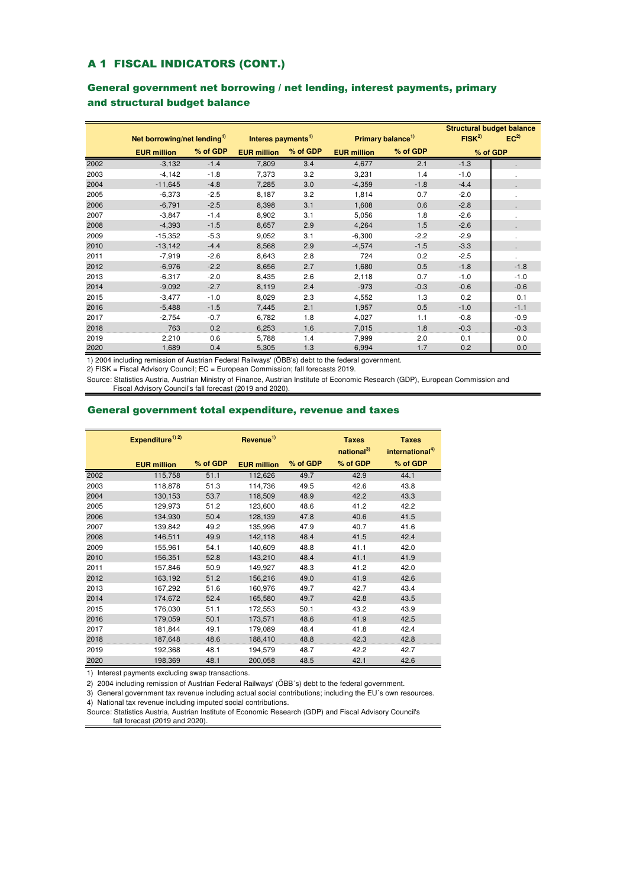#### A 1 FISCAL INDICATORS (CONT.)

#### General government net borrowing / net lending, interest payments, primary and structural budget balance

|      |                                         |          |                                | <b>Structural budget balance</b> |                    |                               |             |                 |
|------|-----------------------------------------|----------|--------------------------------|----------------------------------|--------------------|-------------------------------|-------------|-----------------|
|      | Net borrowing/net lending <sup>1)</sup> |          | Interes payments <sup>1)</sup> |                                  |                    | Primary balance <sup>1)</sup> | $FISK^{2)}$ | EC <sup>2</sup> |
|      | <b>EUR million</b>                      | % of GDP | <b>EUR million</b>             | % of GDP                         | <b>EUR million</b> | % of GDP                      | % of GDP    |                 |
| 2002 | $-3,132$                                | $-1.4$   | 7,809                          | 3.4                              | 4,677              | 2.1                           | $-1.3$      |                 |
| 2003 | $-4,142$                                | $-1.8$   | 7,373                          | 3.2                              | 3,231              | 1.4                           | $-1.0$      |                 |
| 2004 | $-11,645$                               | $-4.8$   | 7,285                          | 3.0                              | $-4,359$           | $-1.8$                        | $-4.4$      |                 |
| 2005 | $-6,373$                                | $-2.5$   | 8,187                          | 3.2                              | 1,814              | 0.7                           | $-2.0$      |                 |
| 2006 | $-6,791$                                | $-2.5$   | 8,398                          | 3.1                              | 1,608              | 0.6                           | $-2.8$      |                 |
| 2007 | $-3,847$                                | $-1.4$   | 8,902                          | 3.1                              | 5,056              | 1.8                           | $-2.6$      |                 |
| 2008 | $-4,393$                                | $-1.5$   | 8,657                          | 2.9                              | 4,264              | 1.5                           | $-2.6$      |                 |
| 2009 | $-15,352$                               | $-5.3$   | 9,052                          | 3.1                              | $-6,300$           | $-2.2$                        | $-2.9$      |                 |
| 2010 | $-13,142$                               | $-4.4$   | 8,568                          | 2.9                              | $-4,574$           | $-1.5$                        | $-3.3$      |                 |
| 2011 | $-7,919$                                | $-2.6$   | 8,643                          | 2.8                              | 724                | 0.2                           | $-2.5$      |                 |
| 2012 | $-6,976$                                | $-2.2$   | 8,656                          | 2.7                              | 1,680              | 0.5                           | $-1.8$      | $-1.8$          |
| 2013 | $-6,317$                                | $-2.0$   | 8,435                          | 2.6                              | 2,118              | 0.7                           | $-1.0$      | $-1.0$          |
| 2014 | $-9,092$                                | $-2.7$   | 8,119                          | 2.4                              | $-973$             | $-0.3$                        | $-0.6$      | $-0.6$          |
| 2015 | $-3,477$                                | $-1.0$   | 8,029                          | 2.3                              | 4,552              | 1.3                           | 0.2         | 0.1             |
| 2016 | $-5,488$                                | $-1.5$   | 7,445                          | 2.1                              | 1,957              | 0.5                           | $-1.0$      | $-1.1$          |
| 2017 | $-2,754$                                | $-0.7$   | 6,782                          | 1.8                              | 4,027              | 1.1                           | $-0.8$      | $-0.9$          |
| 2018 | 763                                     | 0.2      | 6,253                          | 1.6                              | 7,015              | 1.8                           | $-0.3$      | $-0.3$          |
| 2019 | 2,210                                   | 0.6      | 5,788                          | 1.4                              | 7,999              | 2.0                           | 0.1         | 0.0             |
| 2020 | 1,689                                   | 0.4      | 5,305                          | 1.3                              | 6,994              | 1.7                           | 0.2         | 0.0             |

1) 2004 including remission of Austrian Federal Railways' (ÖBB's) debt to the federal government.

2) FISK = Fiscal Advisory Council; EC = European Commission; fall forecasts 2019.

Source: Statistics Austria, Austrian Ministry of Finance, Austrian Institute of Economic Research (GDP), European Commission and Fiscal Advisory Council's fall forecast (2019 and 2020).

#### General government total expenditure, revenue and taxes

|      | Expenditure <sup>1) 2)</sup> |          | Revenue <sup>1)</sup> |          | <b>Taxes</b><br>national <sup>3)</sup> | <b>Taxes</b><br>international <sup>4)</sup> |
|------|------------------------------|----------|-----------------------|----------|----------------------------------------|---------------------------------------------|
|      | <b>EUR million</b>           | % of GDP | <b>EUR million</b>    | % of GDP | % of GDP                               | % of GDP                                    |
| 2002 | 115,758                      | 51.1     | 112,626               | 49.7     | 42.9                                   | 44.1                                        |
| 2003 | 118,878                      | 51.3     | 114,736               | 49.5     | 42.6                                   | 43.8                                        |
| 2004 | 130,153                      | 53.7     | 118,509               | 48.9     | 42.2                                   | 43.3                                        |
| 2005 | 129,973                      | 51.2     | 123,600               | 48.6     | 41.2                                   | 42.2                                        |
| 2006 | 134,930                      | 50.4     | 128,139               | 47.8     | 40.6                                   | 41.5                                        |
| 2007 | 139,842                      | 49.2     | 135,996               | 47.9     | 40.7                                   | 41.6                                        |
| 2008 | 146,511                      | 49.9     | 142,118               | 48.4     | 41.5                                   | 42.4                                        |
| 2009 | 155,961                      | 54.1     | 140,609               | 48.8     | 41.1                                   | 42.0                                        |
| 2010 | 156,351                      | 52.8     | 143,210               | 48.4     | 41.1                                   | 41.9                                        |
| 2011 | 157,846                      | 50.9     | 149,927               | 48.3     | 41.2                                   | 42.0                                        |
| 2012 | 163,192                      | 51.2     | 156,216               | 49.0     | 41.9                                   | 42.6                                        |
| 2013 | 167,292                      | 51.6     | 160,976               | 49.7     | 42.7                                   | 43.4                                        |
| 2014 | 174,672                      | 52.4     | 165,580               | 49.7     | 42.8                                   | 43.5                                        |
| 2015 | 176,030                      | 51.1     | 172,553               | 50.1     | 43.2                                   | 43.9                                        |
| 2016 | 179,059                      | 50.1     | 173,571               | 48.6     | 41.9                                   | 42.5                                        |
| 2017 | 181,844                      | 49.1     | 179,089               | 48.4     | 41.8                                   | 42.4                                        |
| 2018 | 187,648                      | 48.6     | 188,410               | 48.8     | 42.3                                   | 42.8                                        |
| 2019 | 192,368                      | 48.1     | 194,579               | 48.7     | 42.2                                   | 42.7                                        |
| 2020 | 198,369                      | 48.1     | 200,058               | 48.5     | 42.1                                   | 42.6                                        |

1) Interest payments excluding swap transactions.

2) 2004 including remission of Austrian Federal Railways' (ÖBB´s) debt to the federal government.

3) General government tax revenue including actual social contributions; including the EU´s own resources. 4) National tax revenue including imputed social contributions.

Source: Statistics Austria, Austrian Institute of Economic Research (GDP) and Fiscal Advisory Council's fall forecast (2019 and 2020).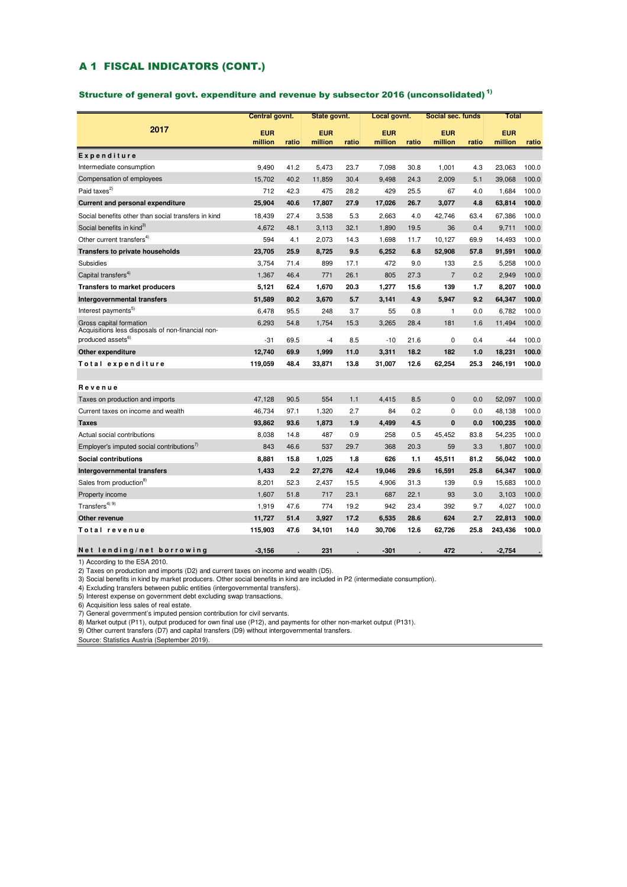#### A 1 FISCAL INDICATORS (CONT.)

#### Structure of general govt. expenditure and revenue by subsector 2016 (unconsolidated)<sup>1)</sup>

|                                                                                    | Central govnt.        |       | State govnt.          |       | Local govnt.          |       | Social sec. funds     |       | <b>Total</b>          |       |
|------------------------------------------------------------------------------------|-----------------------|-------|-----------------------|-------|-----------------------|-------|-----------------------|-------|-----------------------|-------|
| 2017                                                                               | <b>EUR</b><br>million | ratio | <b>EUR</b><br>million | ratio | <b>EUR</b><br>million | ratio | <b>EUR</b><br>million | ratio | <b>EUR</b><br>million | ratio |
| Expenditure                                                                        |                       |       |                       |       |                       |       |                       |       |                       |       |
| Intermediate consumption                                                           | 9.490                 | 41.2  | 5,473                 | 23.7  | 7.098                 | 30.8  | 1,001                 | 4.3   | 23,063                | 100.0 |
| Compensation of employees                                                          | 15,702                | 40.2  | 11,859                | 30.4  | 9,498                 | 24.3  | 2,009                 | 5.1   | 39,068                | 100.0 |
| Paid taxes <sup>2)</sup>                                                           | 712                   | 42.3  | 475                   | 28.2  | 429                   | 25.5  | 67                    | 4.0   | 1,684                 | 100.0 |
| Current and personal expenditure                                                   | 25.904                | 40.6  | 17.807                | 27.9  | 17.026                | 26.7  | 3.077                 | 4.8   | 63,814                | 100.0 |
| Social benefits other than social transfers in kind                                | 18,439                | 27.4  | 3,538                 | 5.3   | 2,663                 | 4.0   | 42,746                | 63.4  | 67,386                | 100.0 |
| Social benefits in kind <sup>3)</sup>                                              | 4,672                 | 48.1  | 3,113                 | 32.1  | 1,890                 | 19.5  | 36                    | 0.4   | 9,711                 | 100.0 |
| Other current transfers <sup>4)</sup>                                              | 594                   | 4.1   | 2,073                 | 14.3  | 1,698                 | 11.7  | 10.127                | 69.9  | 14,493                | 100.0 |
| Transfers to private households                                                    | 23,705                | 25.9  | 8,725                 | 9.5   | 6,252                 | 6.8   | 52,908                | 57.8  | 91,591                | 100.0 |
| Subsidies                                                                          | 3,754                 | 71.4  | 899                   | 17.1  | 472                   | 9.0   | 133                   | 2.5   | 5,258                 | 100.0 |
| Capital transfers <sup>4)</sup>                                                    | 1,367                 | 46.4  | 771                   | 26.1  | 805                   | 27.3  | $\overline{7}$        | 0.2   | 2,949                 | 100.0 |
| <b>Transfers to market producers</b>                                               | 5,121                 | 62.4  | 1,670                 | 20.3  | 1,277                 | 15.6  | 139                   | 1.7   | 8,207                 | 100.0 |
| Intergovernmental transfers                                                        | 51,589                | 80.2  | 3,670                 | 5.7   | 3,141                 | 4.9   | 5,947                 | 9.2   | 64,347                | 100.0 |
| Interest payments <sup>5)</sup>                                                    | 6,478                 | 95.5  | 248                   | 3.7   | 55                    | 0.8   | 1                     | 0.0   | 6,782                 | 100.0 |
| Gross capital formation                                                            | 6,293                 | 54.8  | 1,754                 | 15.3  | 3,265                 | 28.4  | 181                   | 1.6   | 11,494                | 100.0 |
| Acquisitions less disposals of non-financial non-<br>produced assets <sup>6)</sup> | $-31$                 | 69.5  | $-4$                  | 8.5   | $-10$                 | 21.6  | 0                     | 0.4   | $-44$                 | 100.0 |
| Other expenditure                                                                  | 12,740                | 69.9  | 1,999                 | 11.0  | 3,311                 | 18.2  | 182                   | 1.0   | 18,231                | 100.0 |
| Total expenditure                                                                  | 119,059               | 48.4  | 33,871                | 13.8  | 31,007                | 12.6  | 62,254                | 25.3  | 246,191               | 100.0 |
|                                                                                    |                       |       |                       |       |                       |       |                       |       |                       |       |
| Revenue                                                                            |                       |       |                       |       |                       |       |                       |       |                       |       |
| Taxes on production and imports                                                    | 47,128                | 90.5  | 554                   | 1.1   | 4,415                 | 8.5   | $\mathbf{0}$          | 0.0   | 52,097                | 100.0 |
| Current taxes on income and wealth                                                 | 46,734                | 97.1  | 1,320                 | 2.7   | 84                    | 0.2   | 0                     | 0.0   | 48,138                | 100.0 |
| <b>Taxes</b>                                                                       | 93,862                | 93.6  | 1,873                 | 1.9   | 4,499                 | 4.5   | $\mathbf{0}$          | 0.0   | 100,235               | 100.0 |
| Actual social contributions                                                        | 8,038                 | 14.8  | 487                   | 0.9   | 258                   | 0.5   | 45,452                | 83.8  | 54,235                | 100.0 |
| Employer's imputed social contributions <sup>7</sup>                               | 843                   | 46.6  | 537                   | 29.7  | 368                   | 20.3  | 59                    | 3.3   | 1,807                 | 100.0 |
| <b>Social contributions</b>                                                        | 8,881                 | 15.8  | 1,025                 | 1.8   | 626                   | 1.1   | 45,511                | 81.2  | 56,042                | 100.0 |
| Intergovernmental transfers                                                        | 1,433                 | 2.2   | 27,276                | 42.4  | 19,046                | 29.6  | 16,591                | 25.8  | 64,347                | 100.0 |
| Sales from production <sup>8)</sup>                                                | 8,201                 | 52.3  | 2,437                 | 15.5  | 4,906                 | 31.3  | 139                   | 0.9   | 15,683                | 100.0 |
| Property income                                                                    | 1,607                 | 51.8  | 717                   | 23.1  | 687                   | 22.1  | 93                    | 3.0   | 3,103                 | 100.0 |
| Transfers <sup>4) 9)</sup>                                                         | 1,919                 | 47.6  | 774                   | 19.2  | 942                   | 23.4  | 392                   | 9.7   | 4,027                 | 100.0 |
| Other revenue                                                                      | 11,727                | 51.4  | 3,927                 | 17.2  | 6,535                 | 28.6  | 624                   | 2.7   | 22,813                | 100.0 |
| Total revenue                                                                      | 115,903               | 47.6  | 34,101                | 14.0  | 30,706                | 12.6  | 62,726                | 25.8  | 243,436               | 100.0 |
| Net lending/net borrowing                                                          | $-3,156$              |       | 231                   |       | $-301$                |       | 472                   |       | $-2,754$              |       |

1) According to the ESA 2010.

2) Taxes on production and imports (D2) and current taxes on income and wealth (D5).

3) Social benefits in kind by market producers. Other social benefits in kind are included in P2 (intermediate consumption).

4) Excluding transfers between public entities (intergovernmental transfers).

5) Interest expense on government debt excluding swap transactions.

6) Acquisition less sales of real estate.

7) General government's imputed pension contribution for civil servants.

8) Market output (P11), output produced for own final use (P12), and payments for other non-market output (P131).

9) Other current transfers (D7) and capital transfers (D9) without intergovernmental transfers.

Source: Statistics Austria (September 2019).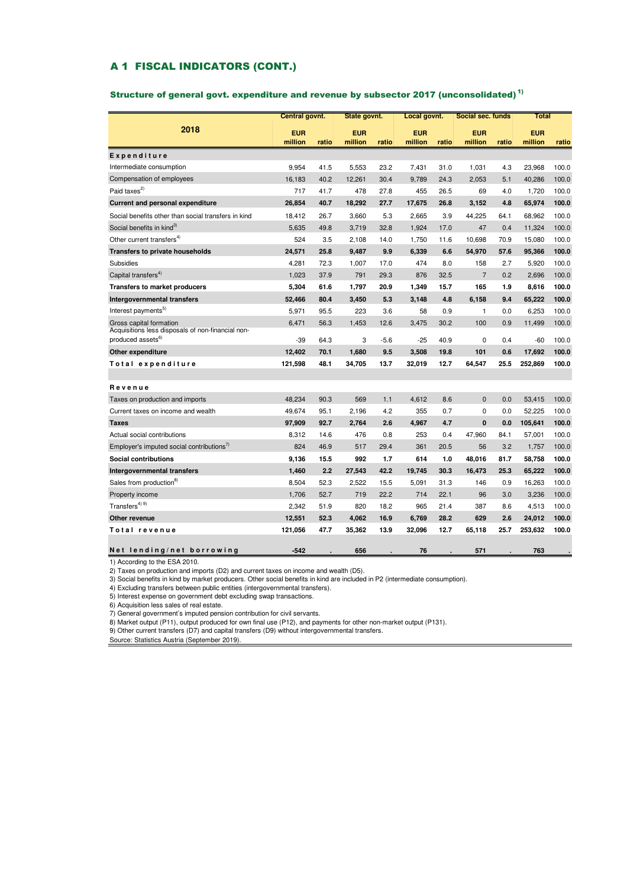#### A 1 FISCAL INDICATORS (CONT.)

#### Structure of general govt. expenditure and revenue by subsector 2017 (unconsolidated)<sup>1)</sup>

|                                                                              | Central govnt.        |       | State govnt.          |        | Local govnt.          |       | Social sec. funds     |       | <b>Total</b>          |       |
|------------------------------------------------------------------------------|-----------------------|-------|-----------------------|--------|-----------------------|-------|-----------------------|-------|-----------------------|-------|
| 2018                                                                         | <b>EUR</b><br>million | ratio | <b>EUR</b><br>million | ratio  | <b>EUR</b><br>million | ratio | <b>EUR</b><br>million | ratio | <b>EUR</b><br>million | ratio |
| Expenditure                                                                  |                       |       |                       |        |                       |       |                       |       |                       |       |
| Intermediate consumption                                                     | 9.954                 | 41.5  | 5,553                 | 23.2   | 7,431                 | 31.0  | 1,031                 | 4.3   | 23,968                | 100.0 |
| Compensation of employees                                                    | 16,183                | 40.2  | 12,261                | 30.4   | 9,789                 | 24.3  | 2,053                 | 5.1   | 40,286                | 100.0 |
| Paid taxes <sup>2)</sup>                                                     | 717                   | 41.7  | 478                   | 27.8   | 455                   | 26.5  | 69                    | 4.0   | 1,720                 | 100.0 |
| Current and personal expenditure                                             | 26,854                | 40.7  | 18,292                | 27.7   | 17,675                | 26.8  | 3,152                 | 4.8   | 65,974                | 100.0 |
| Social benefits other than social transfers in kind                          | 18,412                | 26.7  | 3,660                 | 5.3    | 2,665                 | 3.9   | 44,225                | 64.1  | 68,962                | 100.0 |
| Social benefits in kind <sup>3)</sup>                                        | 5,635                 | 49.8  | 3,719                 | 32.8   | 1.924                 | 17.0  | 47                    | 0.4   | 11,324                | 100.0 |
| Other current transfers <sup>4)</sup>                                        | 524                   | 3.5   | 2,108                 | 14.0   | 1,750                 | 11.6  | 10,698                | 70.9  | 15,080                | 100.0 |
| Transfers to private households                                              | 24,571                | 25.8  | 9.487                 | 9.9    | 6,339                 | 6.6   | 54,970                | 57.6  | 95,366                | 100.0 |
| Subsidies                                                                    | 4,281                 | 72.3  | 1,007                 | 17.0   | 474                   | 8.0   | 158                   | 2.7   | 5,920                 | 100.0 |
| Capital transfers <sup>4)</sup>                                              | 1,023                 | 37.9  | 791                   | 29.3   | 876                   | 32.5  | $\overline{7}$        | 0.2   | 2,696                 | 100.0 |
| <b>Transfers to market producers</b>                                         | 5,304                 | 61.6  | 1,797                 | 20.9   | 1,349                 | 15.7  | 165                   | 1.9   | 8,616                 | 100.0 |
| Intergovernmental transfers                                                  | 52,466                | 80.4  | 3,450                 | 5.3    | 3,148                 | 4.8   | 6,158                 | 9.4   | 65,222                | 100.0 |
| Interest payments <sup>5)</sup>                                              | 5,971                 | 95.5  | 223                   | 3.6    | 58                    | 0.9   | $\mathbf{1}$          | 0.0   | 6,253                 | 100.0 |
| Gross capital formation<br>Acquisitions less disposals of non-financial non- | 6,471                 | 56.3  | 1,453                 | 12.6   | 3,475                 | 30.2  | 100                   | 0.9   | 11,499                | 100.0 |
| produced assets <sup>6)</sup>                                                | $-39$                 | 64.3  | 3                     | $-5.6$ | $-25$                 | 40.9  | $\mathbf 0$           | 0.4   | $-60$                 | 100.0 |
| Other expenditure                                                            | 12,402                | 70.1  | 1,680                 | 9.5    | 3,508                 | 19.8  | 101                   | 0.6   | 17,692                | 100.0 |
| Total expenditure                                                            | 121,598               | 48.1  | 34,705                | 13.7   | 32,019                | 12.7  | 64,547                | 25.5  | 252,869               | 100.0 |
| Revenue                                                                      |                       |       |                       |        |                       |       |                       |       |                       |       |
| Taxes on production and imports                                              | 48.234                | 90.3  | 569                   | 1.1    | 4.612                 | 8.6   | $\Omega$              | 0.0   | 53,415                | 100.0 |
| Current taxes on income and wealth                                           | 49,674                | 95.1  | 2,196                 | 4.2    | 355                   | 0.7   | 0                     | 0.0   | 52,225                | 100.0 |
| <b>Taxes</b>                                                                 | 97.909                | 92.7  | 2,764                 | 2.6    | 4.967                 | 4.7   | $\bf{0}$              | 0.0   | 105,641               | 100.0 |
| Actual social contributions                                                  | 8,312                 | 14.6  | 476                   | 0.8    | 253                   | 0.4   | 47,960                | 84.1  | 57,001                | 100.0 |
| Employer's imputed social contributions"                                     | 824                   | 46.9  | 517                   | 29.4   | 361                   | 20.5  | 56                    | 3.2   | 1,757                 | 100.0 |
| <b>Social contributions</b>                                                  | 9,136                 | 15.5  | 992                   | 1.7    | 614                   | 1.0   | 48,016                | 81.7  | 58,758                | 100.0 |
| Intergovernmental transfers                                                  | 1.460                 | 2.2   | 27.543                | 42.2   | 19.745                | 30.3  | 16.473                | 25.3  | 65,222                | 100.0 |
| Sales from production <sup>8)</sup>                                          | 8,504                 | 52.3  | 2,522                 | 15.5   | 5,091                 | 31.3  | 146                   | 0.9   | 16,263                | 100.0 |
| Property income                                                              | 1,706                 | 52.7  | 719                   | 22.2   | 714                   | 22.1  | 96                    | 3.0   | 3,236                 | 100.0 |
| Transfers <sup>4) 9)</sup>                                                   | 2,342                 | 51.9  | 820                   | 18.2   | 965                   | 21.4  | 387                   | 8.6   | 4,513                 | 100.0 |
| Other revenue                                                                | 12,551                | 52.3  | 4,062                 | 16.9   | 6,769                 | 28.2  | 629                   | 2.6   | 24,012                | 100.0 |
| Total revenue                                                                | 121,056               | 47.7  | 35,362                | 13.9   | 32,096                | 12.7  | 65,118                | 25.7  | 253,632               | 100.0 |
| Net lending/net borrowing                                                    | $-542$                |       | 656                   |        | 76                    |       | 571                   |       | 763                   |       |

1) According to the ESA 2010.

2) Taxes on production and imports (D2) and current taxes on income and wealth (D5).

3) Social benefits in kind by market producers. Other social benefits in kind are included in P2 (intermediate consumption).

4) Excluding transfers between public entities (intergovernmental transfers).

5) Interest expense on government debt excluding swap transactions.

6) Acquisition less sales of real estate.

7) General government's imputed pension contribution for civil servants.

8) Market output (P11), output produced for own final use (P12), and payments for other non-market output (P131).

9) Other current transfers (D7) and capital transfers (D9) without intergovernmental transfers.

Source: Statistics Austria (September 2019).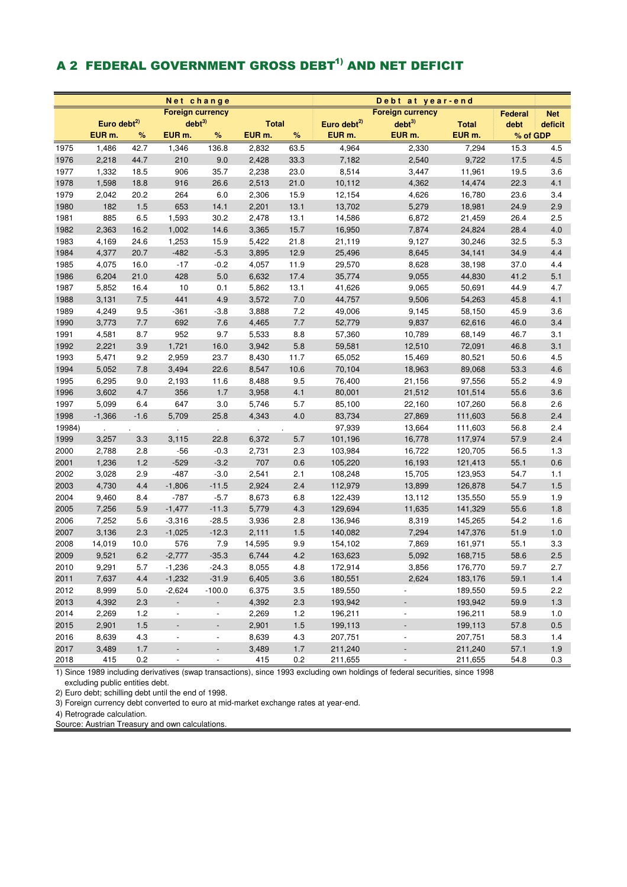# A 2 FEDERAL GOVERNMENT GROSS DEBT<sup>1)</sup> AND NET DEFICIT

|        |                         |        |                          | Net change               |              |         |                   |                          |              |                |            |
|--------|-------------------------|--------|--------------------------|--------------------------|--------------|---------|-------------------|--------------------------|--------------|----------------|------------|
|        |                         |        | <b>Foreign currency</b>  |                          |              |         |                   | <b>Foreign currency</b>  |              | <b>Federal</b> | <b>Net</b> |
|        | Euro debt <sup>2)</sup> |        | debt <sup>3</sup>        |                          | <b>Total</b> |         | Euro debt $^{2)}$ | debt <sup>3</sup>        | <b>Total</b> | debt           | deficit    |
|        | EUR <sub>m</sub> .      | $\%$   | EUR <sub>m.</sub>        | %                        | EUR m.       | $\%$    | EUR <sub>m.</sub> | EUR m.                   | EUR m.       | % of GDP       |            |
| 1975   | 1,486                   | 42.7   | 1,346                    | 136.8                    | 2,832        | 63.5    | 4,964             | 2,330                    | 7,294        | 15.3           | 4.5        |
| 1976   | 2,218                   | 44.7   | 210                      | 9.0                      | 2,428        | 33.3    | 7,182             | 2,540                    | 9,722        | 17.5           | 4.5        |
| 1977   | 1,332                   | 18.5   | 906                      | 35.7                     | 2,238        | 23.0    | 8,514             | 3,447                    | 11,961       | 19.5           | 3.6        |
| 1978   | 1,598                   | 18.8   | 916                      | 26.6                     | 2,513        | 21.0    | 10,112            | 4,362                    | 14,474       | 22.3           | 4.1        |
| 1979   | 2,042                   | 20.2   | 264                      | 6.0                      | 2,306        | 15.9    | 12,154            | 4,626                    | 16,780       | 23.6           | 3.4        |
| 1980   | 182                     | 1.5    | 653                      | 14.1                     | 2,201        | 13.1    | 13,702            | 5,279                    | 18,981       | 24.9           | 2.9        |
| 1981   | 885                     | 6.5    | 1,593                    | 30.2                     | 2,478        | 13.1    | 14,586            | 6,872                    | 21,459       | 26.4           | 2.5        |
| 1982   | 2,363                   | 16.2   | 1,002                    | 14.6                     | 3,365        | 15.7    | 16,950            | 7,874                    | 24,824       | 28.4           | 4.0        |
| 1983   | 4,169                   | 24.6   | 1,253                    | 15.9                     | 5,422        | 21.8    | 21,119            | 9,127                    | 30,246       | 32.5           | 5.3        |
| 1984   | 4,377                   | 20.7   | $-482$                   | $-5.3$                   | 3,895        | 12.9    | 25,496            | 8,645                    | 34,141       | 34.9           | 4.4        |
| 1985   | 4,075                   | 16.0   | $-17$                    | $-0.2$                   | 4,057        | 11.9    | 29,570            | 8,628                    | 38,198       | 37.0           | 4.4        |
| 1986   | 6,204                   | 21.0   | 428                      | 5.0                      | 6,632        | 17.4    | 35,774            | 9,055                    | 44,830       | 41.2           | 5.1        |
| 1987   | 5,852                   | 16.4   | 10                       | 0.1                      | 5,862        | 13.1    | 41,626            | 9,065                    | 50,691       | 44.9           | 4.7        |
| 1988   | 3,131                   | 7.5    | 441                      | 4.9                      | 3,572        | $7.0\,$ | 44,757            | 9,506                    | 54,263       | 45.8           | 4.1        |
| 1989   | 4,249                   | 9.5    | $-361$                   | $-3.8$                   | 3,888        | 7.2     | 49,006            | 9,145                    | 58,150       | 45.9           | 3.6        |
| 1990   | 3,773                   | 7.7    | 692                      | 7.6                      | 4,465        | 7.7     | 52,779            | 9,837                    | 62,616       | 46.0           | 3.4        |
| 1991   | 4,581                   | 8.7    | 952                      | 9.7                      | 5,533        | 8.8     | 57,360            | 10,789                   | 68,149       | 46.7           | 3.1        |
| 1992   | 2,221                   | 3.9    | 1,721                    | 16.0                     | 3,942        | 5.8     | 59,581            | 12,510                   | 72,091       | 46.8           | 3.1        |
| 1993   | 5,471                   | 9.2    | 2,959                    | 23.7                     | 8,430        | 11.7    | 65,052            | 15,469                   | 80,521       | 50.6           | 4.5        |
| 1994   | 5,052                   | 7.8    | 3,494                    | 22.6                     | 8,547        | 10.6    | 70,104            | 18,963                   | 89,068       | 53.3           | 4.6        |
| 1995   | 6,295                   | 9.0    | 2,193                    | 11.6                     | 8,488        | 9.5     | 76,400            | 21,156                   | 97,556       | 55.2           | 4.9        |
| 1996   | 3,602                   | 4.7    | 356                      | 1.7                      | 3,958        | 4.1     | 80,001            | 21,512                   | 101,514      | 55.6           | 3.6        |
| 1997   | 5,099                   | 6.4    | 647                      | 3.0                      | 5,746        | 5.7     | 85,100            | 22,160                   | 107,260      | 56.8           | 2.6        |
| 1998   | $-1,366$                | $-1.6$ | 5,709                    | 25.8                     | 4,343        | 4.0     | 83,734            | 27,869                   | 111,603      | 56.8           | 2.4        |
| 19984) |                         |        |                          | à.                       |              |         | 97,939            | 13,664                   | 111,603      | 56.8           | 2.4        |
| 1999   | 3,257                   | 3.3    | 3,115                    | 22.8                     | 6,372        | 5.7     | 101,196           | 16,778                   | 117,974      | 57.9           | 2.4        |
| 2000   | 2,788                   | 2.8    | $-56$                    | $-0.3$                   | 2,731        | 2.3     | 103,984           | 16,722                   | 120,705      | 56.5           | 1.3        |
| 2001   | 1,236                   | 1.2    | $-529$                   | $-3.2$                   | 707          | 0.6     | 105,220           | 16,193                   | 121,413      | 55.1           | 0.6        |
| 2002   | 3,028                   | 2.9    | $-487$                   | $-3.0$                   | 2,541        | 2.1     | 108,248           | 15,705                   | 123,953      | 54.7           | $1.1$      |
| 2003   | 4,730                   | 4.4    | $-1,806$                 | $-11.5$                  | 2,924        | 2.4     | 112,979           | 13,899                   | 126,878      | 54.7           | 1.5        |
| 2004   | 9,460                   | 8.4    | $-787$                   | $-5.7$                   | 8,673        | 6.8     | 122,439           | 13,112                   | 135,550      | 55.9           | 1.9        |
| 2005   | 7,256                   | 5.9    | $-1,477$                 | $-11.3$                  | 5,779        | 4.3     | 129,694           | 11,635                   | 141,329      | 55.6           | 1.8        |
| 2006   | 7,252                   | 5.6    | $-3,316$                 | $-28.5$                  | 3,936        | 2.8     | 136,946           | 8,319                    | 145,265      | 54.2           | 1.6        |
| 2007   | 3,136                   | 2.3    | $-1,025$                 | $-12.3$                  | 2,111        | 1.5     | 140,082           | 7,294                    | 147,376      | 51.9           | 1.0        |
| 2008   | 14,019                  | 10.0   | 576                      | 7.9                      | 14,595       | 9.9     | 154,102           | 7,869                    | 161,971      | 55.1           | 3.3        |
| 2009   | 9,521                   | 6.2    | $-2,777$                 | $-35.3$                  | 6,744        | 4.2     | 163,623           | 5,092                    | 168,715      | 58.6           | 2.5        |
| 2010   | 9,291                   | 5.7    | $-1,236$                 | $-24.3$                  | 8,055        | 4.8     | 172,914           | 3,856                    | 176,770      | 59.7           | 2.7        |
| 2011   | 7,637                   | 4.4    | $-1,232$                 | $-31.9$                  | 6,405        | 3.6     | 180,551           | 2,624                    | 183,176      | 59.1           | $1.4$      |
| 2012   | 8,999                   | 5.0    | $-2,624$                 | $-100.0$                 | 6,375        | 3.5     | 189,550           | $\overline{\phantom{m}}$ | 189,550      | 59.5           | 2.2        |
| 2013   | 4,392                   | 2.3    |                          | $\overline{\phantom{0}}$ | 4,392        | 2.3     | 193,942           |                          | 193,942      | 59.9           | 1.3        |
| 2014   | 2,269                   | 1.2    | $\overline{\phantom{a}}$ | $\overline{\phantom{a}}$ | 2,269        | 1.2     | 196,211           | $\overline{\phantom{m}}$ | 196,211      | 58.9           | 1.0        |
| 2015   | 2,901                   | 1.5    |                          | $\overline{\phantom{a}}$ | 2,901        | 1.5     | 199,113           | $\overline{\phantom{m}}$ | 199,113      | 57.8           | 0.5        |
| 2016   | 8,639                   | 4.3    | $\overline{\phantom{a}}$ | $\blacksquare$           | 8,639        | 4.3     | 207,751           | $\overline{\phantom{a}}$ | 207,751      | 58.3           | 1.4        |
| 2017   | 3,489                   | 1.7    | -                        | $\overline{\phantom{0}}$ | 3,489        | $1.7\,$ | 211,240           | $\overline{\phantom{m}}$ | 211,240      | 57.1           | 1.9        |
| 2018   | 415                     | 0.2    | $\overline{\phantom{a}}$ | $\overline{\phantom{0}}$ | 415          | 0.2     | 211,655           | $\overline{\phantom{a}}$ | 211,655      | 54.8           | 0.3        |

1) Since 1989 including derivatives (swap transactions), since 1993 excluding own holdings of federal securities, since 1998 excluding public entities debt.

2) Euro debt; schilling debt until the end of 1998.

3) Foreign currency debt converted to euro at mid-market exchange rates at year-end.

4) Retrograde calculation.

Source: Austrian Treasury and own calculations.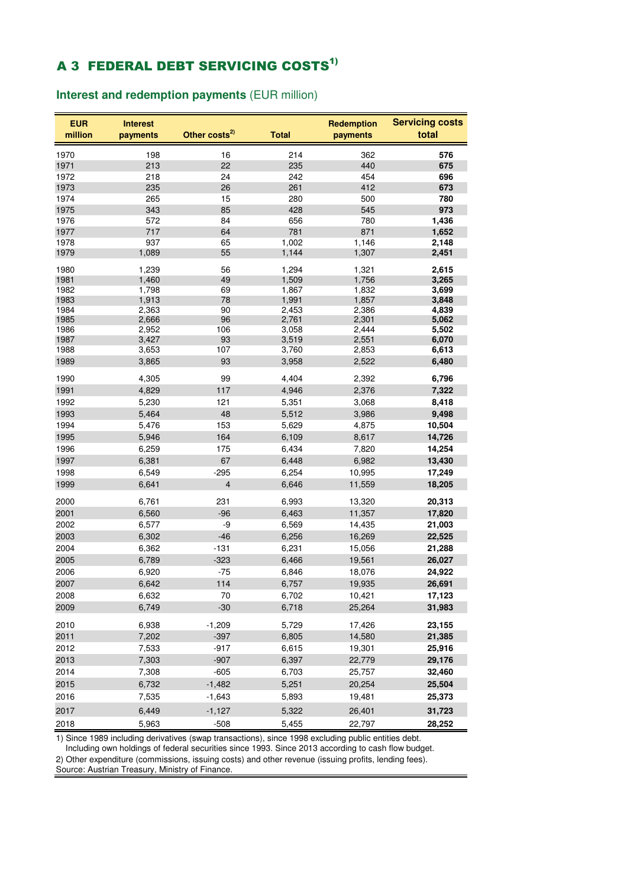# A 3 FEDERAL DEBT SERVICING COSTS<sup>1)</sup>

**Interest and redemption payments** (EUR million)

| <b>EUR</b><br>million | <b>Interest</b><br>payments | Other costs <sup>2)</sup> | <b>Total</b>   | <b>Redemption</b><br>payments | <b>Servicing costs</b><br>total |
|-----------------------|-----------------------------|---------------------------|----------------|-------------------------------|---------------------------------|
| 1970                  | 198                         | 16                        | 214            | 362                           | 576                             |
| 1971                  | 213                         | 22                        | 235            | 440                           | 675                             |
| 1972                  | 218                         | 24                        | 242            | 454                           | 696                             |
| 1973                  | 235                         | 26                        | 261            | 412                           | 673                             |
| 1974                  | 265                         | 15                        | 280            | 500                           | 780                             |
| 1975                  | 343                         | 85                        | 428            | 545                           | 973                             |
| 1976                  | 572                         | 84                        | 656            | 780                           | 1,436                           |
| 1977                  | 717                         | 64                        | 781            | 871                           | 1,652                           |
| 1978                  | 937                         | 65                        | 1,002          | 1,146                         | 2,148                           |
| 1979                  | 1,089                       | 55                        | 1,144          | 1,307                         | 2,451                           |
| 1980                  | 1,239                       | 56                        | 1,294          | 1,321                         | 2,615                           |
| 1981                  | 1,460                       | 49                        | 1,509          | 1,756                         | 3,265                           |
| 1982                  | 1,798                       | 69                        | 1,867          | 1,832                         | 3,699                           |
| 1983                  | 1,913                       | 78                        | 1,991          | 1,857                         | 3,848                           |
| 1984                  | 2,363                       | 90                        | 2,453          | 2,386                         | 4,839                           |
| 1985                  | 2,666                       | 96                        | 2,761          | 2,301                         | 5,062                           |
| 1986                  | 2,952                       | 106<br>93                 | 3,058          | 2,444                         | 5,502                           |
| 1987<br>1988          | 3,427<br>3,653              | 107                       | 3,519<br>3,760 | 2,551<br>2,853                | 6,070<br>6,613                  |
| 1989                  | 3,865                       | 93                        | 3,958          | 2,522                         | 6,480                           |
|                       |                             |                           |                |                               |                                 |
| 1990                  | 4,305                       | 99                        | 4,404          | 2,392                         | 6,796                           |
| 1991                  | 4,829                       | 117                       | 4,946          | 2,376                         | 7,322                           |
| 1992                  | 5,230                       | 121                       | 5,351          | 3,068                         | 8,418                           |
| 1993                  | 5,464                       | 48                        | 5,512          | 3,986                         | 9,498                           |
| 1994                  | 5,476                       | 153                       | 5,629          | 4,875                         | 10,504                          |
| 1995                  | 5,946                       | 164                       | 6,109          | 8,617                         | 14,726                          |
| 1996                  | 6,259                       | 175                       | 6,434          | 7,820                         | 14,254                          |
| 1997                  | 6,381                       | 67                        | 6,448          | 6,982                         | 13,430                          |
| 1998                  | 6,549                       | $-295$                    | 6,254          | 10,995                        | 17,249                          |
| 1999                  | 6,641                       | $\overline{4}$            | 6,646          | 11,559                        | 18,205                          |
| 2000                  | 6,761                       | 231                       | 6,993          | 13,320                        | 20,313                          |
| 2001                  | 6,560                       | $-96$                     | 6,463          | 11,357                        | 17,820                          |
| 2002                  | 6,577                       | -9                        | 6,569          | 14,435                        | 21,003                          |
| 2003                  | 6,302                       | $-46$                     | 6,256          | 16,269                        | 22,525                          |
| 2004                  | 6,362                       | $-131$                    | 6,231          | 15,056                        | 21,288                          |
| 2005                  | 6,789                       | $-323$                    | 6,466          | 19,561                        | 26,027                          |
| 2006                  | 6,920                       | $-75$                     | 6,846          | 18,076                        | 24,922                          |
| 2007                  | 6,642                       | 114                       | 6,757          | 19,935                        | 26,691                          |
| 2008                  | 6,632                       | 70                        | 6,702          | 10,421                        | 17,123                          |
| 2009                  | 6,749                       | $-30$                     | 6,718          | 25,264                        | 31,983                          |
| 2010                  | 6,938                       | $-1,209$                  | 5,729          | 17,426                        | 23,155                          |
| 2011                  | 7,202                       | $-397$                    | 6,805          | 14,580                        | 21,385                          |
| 2012                  | 7,533                       | $-917$                    | 6,615          | 19,301                        | 25,916                          |
| 2013                  | 7,303                       | $-907$                    | 6,397          | 22,779                        | 29,176                          |
| 2014                  | 7,308                       | $-605$                    | 6,703          | 25,757                        | 32,460                          |
| 2015                  | 6,732                       | $-1,482$                  | 5,251          | 20,254                        | 25,504                          |
| 2016                  | 7,535                       | $-1,643$                  | 5,893          | 19,481                        | 25,373                          |
| 2017                  | 6,449                       | $-1,127$                  | 5,322          | 26,401                        | 31,723                          |
| 2018                  | 5,963                       | $-508$                    | 5,455          | 22,797                        | 28,252                          |

1) Since 1989 including derivatives (swap transactions), since 1998 excluding public entities debt. Including own holdings of federal securities since 1993. Since 2013 according to cash flow budget. 2) Other expenditure (commissions, issuing costs) and other revenue (issuing profits, lending fees). Source: Austrian Treasury, Ministry of Finance.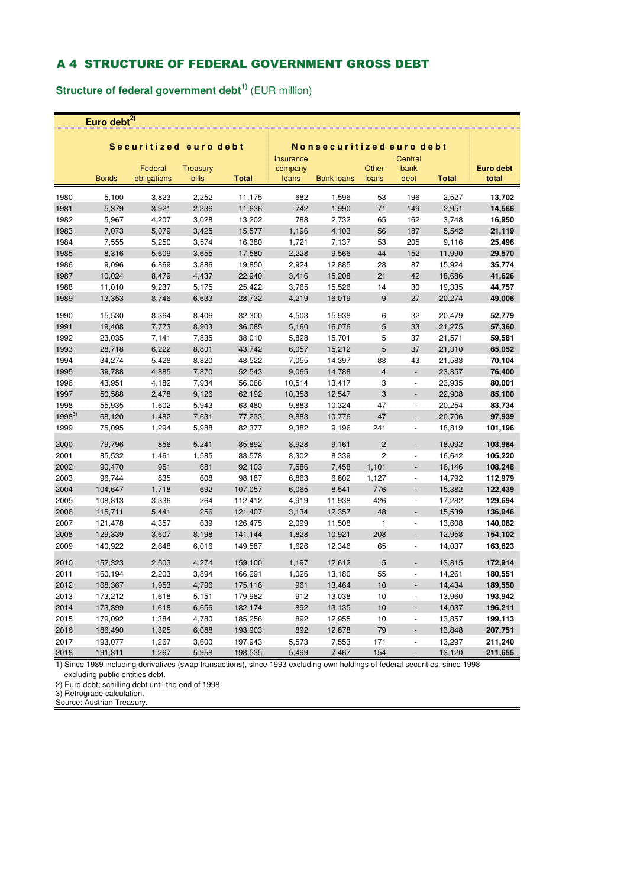## A 4 STRUCTURE OF FEDERAL GOVERNMENT GROSS DEBT

**Structure of federal government debt1)** (EUR million)

**Euro debt2)**

|            |              | Securitized euro debt  |                   |              | Nonsecuritized euro debt      |                   |                |                          |              |                    |
|------------|--------------|------------------------|-------------------|--------------|-------------------------------|-------------------|----------------|--------------------------|--------------|--------------------|
|            | <b>Bonds</b> | Federal<br>obligations | Treasury<br>bills | <b>Total</b> | Insurance<br>company<br>loans | <b>Bank loans</b> | Other<br>loans | Central<br>bank<br>debt  | <b>Total</b> | Euro debt<br>total |
| 1980       | 5,100        | 3,823                  | 2,252             | 11,175       | 682                           | 1,596             | 53             | 196                      | 2,527        | 13,702             |
| 1981       | 5,379        | 3,921                  | 2,336             | 11,636       | 742                           | 1,990             | 71             | 149                      | 2,951        | 14,586             |
| 1982       | 5,967        | 4,207                  | 3,028             | 13,202       | 788                           | 2,732             | 65             | 162                      | 3,748        | 16,950             |
| 1983       | 7,073        | 5,079                  | 3,425             | 15,577       | 1,196                         | 4,103             | 56             | 187                      | 5,542        | 21,119             |
| 1984       | 7,555        | 5,250                  | 3,574             | 16,380       | 1,721                         | 7,137             | 53             | 205                      | 9,116        | 25,496             |
| 1985       | 8,316        | 5,609                  | 3,655             | 17,580       | 2,228                         | 9,566             | 44             | 152                      | 11,990       | 29,570             |
| 1986       | 9,096        | 6,869                  | 3,886             | 19,850       | 2,924                         | 12,885            | 28             | 87                       | 15,924       | 35,774             |
| 1987       | 10,024       | 8,479                  | 4,437             | 22,940       | 3,416                         | 15,208            | 21             | 42                       | 18,686       | 41,626             |
| 1988       | 11,010       | 9,237                  | 5,175             | 25,422       | 3,765                         | 15,526            | 14             | 30                       | 19,335       | 44,757             |
| 1989       | 13,353       | 8,746                  | 6,633             | 28,732       | 4,219                         | 16,019            | 9              | 27                       | 20,274       | 49,006             |
| 1990       | 15,530       | 8,364                  | 8,406             | 32,300       | 4,503                         | 15,938            | 6              | 32                       | 20,479       | 52,779             |
| 1991       | 19,408       | 7,773                  | 8,903             | 36,085       | 5,160                         | 16,076            | 5              | 33                       | 21,275       | 57,360             |
| 1992       | 23,035       | 7,141                  | 7,835             | 38,010       | 5,828                         | 15,701            | 5              | 37                       | 21,571       | 59,581             |
| 1993       | 28,718       | 6,222                  | 8,801             | 43,742       | 6,057                         | 15,212            | 5              | 37                       | 21,310       | 65,052             |
| 1994       | 34,274       | 5,428                  | 8,820             | 48,522       | 7,055                         | 14,397            | 88             | 43                       | 21,583       | 70,104             |
| 1995       | 39,788       | 4,885                  | 7,870             | 52,543       | 9,065                         | 14,788            | $\overline{4}$ | ÷,                       | 23,857       | 76,400             |
| 1996       | 43,951       | 4,182                  | 7,934             | 56,066       | 10,514                        | 13,417            | 3              | $\blacksquare$           | 23,935       | 80,001             |
| 1997       | 50,588       | 2,478                  | 9,126             | 62,192       | 10,358                        | 12,547            | 3              | $\overline{a}$           | 22,908       | 85,100             |
| 1998       | 55,935       | 1,602                  | 5,943             | 63,480       | 9,883                         | 10,324            | 47             | $\overline{\phantom{a}}$ | 20,254       | 83,734             |
| $1998^{3}$ | 68,120       | 1,482                  | 7,631             | 77,233       | 9,883                         | 10,776            | 47             | $\overline{\phantom{0}}$ | 20,706       | 97,939             |
| 1999       | 75,095       | 1,294                  | 5,988             | 82,377       | 9,382                         | 9,196             | 241            | $\overline{a}$           | 18,819       | 101,196            |
| 2000       | 79,796       | 856                    | 5,241             | 85,892       | 8,928                         | 9,161             | $\overline{2}$ | $\overline{\phantom{a}}$ | 18,092       | 103,984            |
| 2001       | 85,532       | 1,461                  | 1,585             | 88,578       | 8,302                         | 8,339             | $\overline{c}$ | L,                       | 16,642       | 105,220            |
| 2002       | 90,470       | 951                    | 681               | 92,103       | 7,586                         | 7,458             | 1,101          | $\overline{a}$           | 16,146       | 108,248            |
| 2003       | 96,744       | 835                    | 608               | 98,187       | 6,863                         | 6,802             | 1,127          | $\overline{\phantom{a}}$ | 14,792       | 112,979            |
| 2004       | 104,647      | 1,718                  | 692               | 107,057      | 6,065                         | 8,541             | 776            | $\overline{a}$           | 15,382       | 122,439            |
| 2005       | 108,813      | 3,336                  | 264               | 112,412      | 4,919                         | 11,938            | 426            | $\blacksquare$           | 17,282       | 129,694            |
| 2006       | 115,711      | 5,441                  | 256               | 121,407      | 3,134                         | 12,357            | 48             | $\blacksquare$           | 15,539       | 136,946            |
| 2007       | 121,478      | 4,357                  | 639               | 126,475      | 2,099                         | 11,508            | $\mathbf{1}$   | $\overline{\phantom{a}}$ | 13,608       | 140,082            |
| 2008       | 129,339      | 3,607                  | 8,198             | 141,144      | 1,828                         | 10,921            | 208            | $\overline{a}$           | 12,958       | 154,102            |
| 2009       | 140,922      | 2,648                  | 6,016             | 149,587      | 1,626                         | 12,346            | 65             | $\frac{1}{2}$            | 14,037       | 163,623            |
| 2010       | 152,323      | 2,503                  | 4,274             | 159,100      | 1,197                         | 12,612            | 5              | $\frac{1}{2}$            | 13,815       | 172,914            |
| 2011       | 160,194      | 2,203                  | 3,894             | 166,291      | 1,026                         | 13,180            | 55             | $\blacksquare$           | 14,261       | 180,551            |
| 2012       | 168,367      | 1,953                  | 4,796             | 175,116      | 961                           | 13,464            | 10             | $\overline{a}$           | 14,434       | 189,550            |
| 2013       | 173,212      | 1,618                  | 5,151             | 179,982      | 912                           | 13,038            | 10             | $\overline{a}$           | 13,960       | 193,942            |
| 2014       | 173,899      | 1,618                  | 6,656             | 182,174      | 892                           | 13,135            | 10             | $\overline{a}$           | 14,037       | 196,211            |
| 2015       | 179,092      | 1,384                  | 4,780             | 185,256      | 892                           | 12,955            | 10             | $\blacksquare$           | 13,857       | 199,113            |
| 2016       | 186,490      | 1,325                  | 6,088             | 193,903      | 892                           | 12,878            | 79             | $\overline{a}$           | 13,848       | 207,751            |
| 2017       | 193,077      | 1,267                  | 3,600             | 197,943      | 5,573                         | 7,553             | 171            | $\overline{a}$           | 13,297       | 211,240            |
| 2018       | 191,311      | 1,267                  | 5,958             | 198,535      | 5,499                         | 7,467             | 154            | $\overline{a}$           | 13,120       | 211,655            |

1) Since 1989 including derivatives (swap transactions), since 1993 excluding own holdings of federal securities, since 1998 excluding public entities debt.

2) Euro debt; schilling debt until the end of 1998.

3) Retrograde calculation.

Source: Austrian Treasury.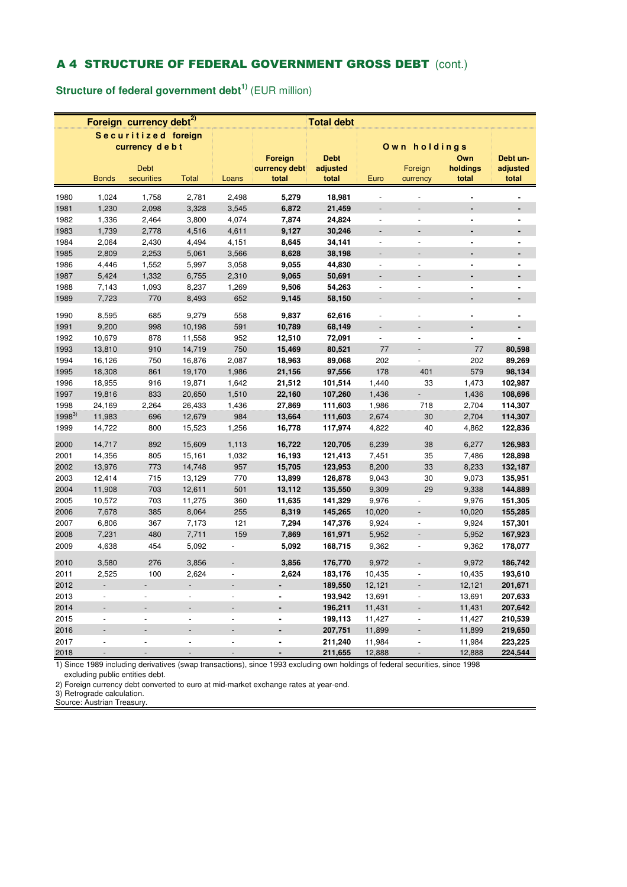## A 4 STRUCTURE OF FEDERAL GOVERNMENT GROSS DEBT (cont.)

**Structure of federal government debt1)** (EUR million)

|            |                          | Foreign currency debt <sup>2)</sup> |                          |                |                        | <b>Total debt</b> |                          |                          |                   |                          |
|------------|--------------------------|-------------------------------------|--------------------------|----------------|------------------------|-------------------|--------------------------|--------------------------|-------------------|--------------------------|
|            |                          | Securitized foreign                 |                          |                |                        |                   |                          |                          |                   |                          |
|            |                          | currency debt                       |                          |                |                        |                   |                          | Own holdings             |                   |                          |
|            |                          |                                     |                          |                | <b>Foreign</b>         | <b>Debt</b>       |                          |                          | Own               | Debt un-                 |
|            | <b>Bonds</b>             | <b>Debt</b><br>securities           | <b>Total</b>             | Loans          | currency debt<br>total | adjusted<br>total | Euro                     | Foreign<br>currency      | holdings<br>total | adjusted<br>total        |
|            |                          |                                     |                          |                |                        |                   |                          |                          |                   |                          |
| 1980       | 1,024                    | 1,758                               | 2,781                    | 2,498          | 5,279                  | 18,981            |                          |                          |                   |                          |
| 1981       | 1,230                    | 2,098                               | 3,328                    | 3,545          | 6,872                  | 21,459            |                          |                          |                   |                          |
| 1982       | 1,336                    | 2,464                               | 3,800                    | 4,074          | 7,874                  | 24,824            | $\overline{a}$           | $\overline{a}$           | $\blacksquare$    | $\blacksquare$           |
| 1983       | 1,739                    | 2,778                               | 4,516                    | 4,611          | 9,127                  | 30,246            |                          |                          |                   | $\blacksquare$           |
| 1984       | 2,064                    | 2,430                               | 4,494                    | 4,151          | 8,645                  | 34,141            | ÷.                       | ÷,                       | $\blacksquare$    | $\overline{\phantom{a}}$ |
| 1985       | 2,809                    | 2,253                               | 5,061                    | 3,566          | 8,628                  | 38,198            | L.                       |                          |                   | $\blacksquare$           |
| 1986       | 4,446                    | 1,552                               | 5,997                    | 3,058          | 9,055                  | 44,830            | $\overline{a}$           | $\overline{a}$           | L,                | $\blacksquare$           |
| 1987       | 5,424                    | 1,332                               | 6,755                    | 2,310          | 9,065                  | 50,691            |                          |                          |                   |                          |
| 1988       | 7,143                    | 1,093                               | 8,237                    | 1,269          | 9,506                  | 54,263            |                          |                          |                   | ä,                       |
| 1989       | 7,723                    | 770                                 | 8,493                    | 652            | 9,145                  | 58,150            |                          |                          |                   | ÷,                       |
| 1990       | 8,595                    | 685                                 | 9,279                    | 558            | 9,837                  | 62,616            | ÷,                       |                          |                   | $\blacksquare$           |
| 1991       | 9,200                    | 998                                 | 10,198                   | 591            | 10,789                 | 68,149            | $\overline{a}$           |                          |                   | ÷.                       |
| 1992       | 10,679                   | 878                                 | 11,558                   | 952            | 12,510                 | 72,091            | $\overline{\phantom{a}}$ | $\overline{a}$           | ÷.                | ÷                        |
| 1993       | 13,810                   | 910                                 | 14,719                   | 750            | 15,469                 | 80,521            | 77                       |                          | 77                | 80,598                   |
| 1994       | 16,126                   | 750                                 | 16,876                   | 2,087          | 18,963                 | 89,068            | 202                      | $\overline{a}$           | 202               | 89,269                   |
| 1995       | 18,308                   | 861                                 | 19,170                   | 1,986          | 21,156                 | 97,556            | 178                      | 401                      | 579               | 98,134                   |
| 1996       | 18,955                   | 916                                 | 19,871                   | 1,642          | 21,512                 | 101,514           | 1,440                    | 33                       | 1,473             | 102,987                  |
| 1997       | 19,816                   | 833                                 | 20,650                   | 1,510          | 22,160                 | 107,260           | 1,436                    | $\frac{1}{2}$            | 1,436             | 108,696                  |
| 1998       | 24,169                   | 2,264                               | 26,433                   | 1,436          | 27,869                 | 111,603           | 1,986                    | 718                      | 2,704             | 114,307                  |
| $1998^{3}$ | 11,983                   | 696                                 | 12,679                   | 984            | 13,664                 | 111,603           | 2,674                    | 30                       | 2,704             | 114,307                  |
| 1999       | 14,722                   | 800                                 | 15,523                   | 1,256          | 16,778                 | 117,974           | 4,822                    | 40                       | 4,862             | 122,836                  |
| 2000       | 14,717                   | 892                                 | 15,609                   | 1,113          | 16,722                 | 120,705           | 6,239                    | 38                       | 6,277             | 126,983                  |
| 2001       | 14,356                   | 805                                 | 15,161                   | 1,032          | 16,193                 | 121,413           | 7,451                    | 35                       | 7,486             | 128,898                  |
| 2002       | 13,976                   | 773                                 | 14,748                   | 957            | 15,705                 | 123,953           | 8,200                    | 33                       | 8,233             | 132,187                  |
| 2003       | 12,414                   | 715                                 | 13,129                   | 770            | 13,899                 | 126,878           | 9,043                    | 30                       | 9,073             | 135,951                  |
| 2004       | 11,908                   | 703                                 | 12,611                   | 501            | 13,112                 | 135,550           | 9,309                    | 29                       | 9,338             | 144,889                  |
| 2005       | 10,572                   | 703                                 | 11,275                   | 360            | 11,635                 | 141,329           | 9,976                    | $\overline{a}$           | 9,976             | 151,305                  |
| 2006       | 7,678                    | 385                                 | 8,064                    | 255            | 8,319                  | 145,265           | 10,020                   | $\overline{a}$           | 10,020            | 155,285                  |
| 2007       | 6,806                    | 367                                 | 7,173                    | 121            | 7,294                  | 147,376           | 9,924                    | ÷,                       | 9,924             | 157,301                  |
| 2008       | 7,231                    | 480                                 | 7,711                    | 159            | 7,869                  | 161,971           | 5,952                    |                          | 5,952             | 167,923                  |
| 2009       | 4,638                    | 454                                 | 5,092                    |                | 5,092                  | 168,715           | 9,362                    | $\sim$                   | 9,362             | 178,077                  |
| 2010       | 3,580                    | 276                                 | 3,856                    |                | 3,856                  | 176,770           | 9,972                    |                          | 9,972             | 186,742                  |
|            |                          | 100                                 | 2,624                    |                |                        |                   |                          |                          |                   |                          |
| 2011       | 2,525<br>$\overline{a}$  |                                     | $\overline{\phantom{a}}$ |                | 2,624                  | 183,176           | 10,435                   |                          | 10,435            | 193,610                  |
| 2012       |                          |                                     | $\overline{a}$           |                |                        | 189,550           | 12,121                   |                          | 12,121            | 201,671                  |
| 2013       | $\overline{a}$           |                                     |                          | $\overline{a}$ |                        | 193,942           | 13,691                   | L,                       | 13,691            | 207,633                  |
| 2014       | $\overline{a}$           |                                     |                          |                |                        | 196,211           | 11,431                   |                          | 11,431            | 207,642                  |
| 2015       | $\blacksquare$           | $\overline{\phantom{a}}$            | $\overline{a}$           | $\overline{a}$ | ÷.                     | 199,113           | 11,427                   | $\overline{\phantom{a}}$ | 11,427            | 210,539                  |
| 2016       | $\overline{a}$           |                                     |                          |                |                        | 207,751           | 11,899                   | $\overline{a}$           | 11,899            | 219,650                  |
| 2017       | $\overline{\phantom{a}}$ | $\overline{a}$                      | $\overline{a}$           | $\overline{a}$ | ä,                     | 211,240           | 11,984                   | $\overline{\phantom{a}}$ | 11,984            | 223,225                  |
| 2018       |                          |                                     |                          |                |                        | 211,655           | 12,888                   |                          | 12,888            | 224,544                  |

1) Since 1989 including derivatives (swap transactions), since 1993 excluding own holdings of federal securities, since 1998 excluding public entities debt.

2) Foreign currency debt converted to euro at mid-market exchange rates at year-end. 3) Retrograde calculation.

Source: Austrian Treasury.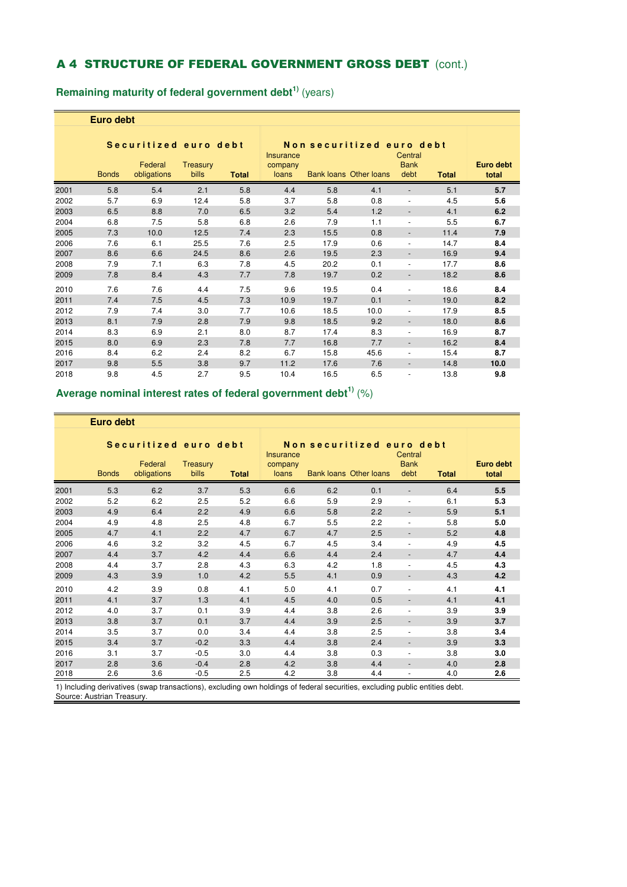## A 4 STRUCTURE OF FEDERAL GOVERNMENT GROSS DEBT (cont.)

**Remaining maturity of federal government debt1)** (years)

|  | Euro debt |  |  |  |
|--|-----------|--|--|--|
|--|-----------|--|--|--|

|      |              | Securitized euro debt  |                   |              | Non securitized euro debt<br><b>Insurance</b> |      |                               |                                |              |                    |
|------|--------------|------------------------|-------------------|--------------|-----------------------------------------------|------|-------------------------------|--------------------------------|--------------|--------------------|
|      | <b>Bonds</b> | Federal<br>obligations | Treasury<br>bills | <b>Total</b> | company<br>loans                              |      | <b>Bank loans Other loans</b> | Central<br><b>Bank</b><br>debt | <b>Total</b> | Euro debt<br>total |
| 2001 | 5.8          | 5.4                    | 2.1               | 5.8          | 4.4                                           | 5.8  | 4.1                           | $\overline{a}$                 | 5.1          | 5.7                |
| 2002 | 5.7          | 6.9                    | 12.4              | 5.8          | 3.7                                           | 5.8  | 0.8                           | $\overline{\phantom{a}}$       | 4.5          | 5.6                |
| 2003 | 6.5          | 8.8                    | 7.0               | 6.5          | 3.2                                           | 5.4  | 1.2                           |                                | 4.1          | 6.2                |
| 2004 | 6.8          | 7.5                    | 5.8               | 6.8          | 2.6                                           | 7.9  | 1.1                           | $\blacksquare$                 | 5.5          | 6.7                |
| 2005 | 7.3          | 10.0                   | 12.5              | 7.4          | 2.3                                           | 15.5 | 0.8                           | $\overline{\phantom{a}}$       | 11.4         | 7.9                |
| 2006 | 7.6          | 6.1                    | 25.5              | 7.6          | 2.5                                           | 17.9 | 0.6                           | ÷,                             | 14.7         | 8.4                |
| 2007 | 8.6          | 6.6                    | 24.5              | 8.6          | 2.6                                           | 19.5 | 2.3                           |                                | 16.9         | 9.4                |
| 2008 | 7.9          | 7.1                    | 6.3               | 7.8          | 4.5                                           | 20.2 | 0.1                           | ÷,                             | 17.7         | 8.6                |
| 2009 | 7.8          | 8.4                    | 4.3               | 7.7          | 7.8                                           | 19.7 | 0.2                           | $\overline{\phantom{a}}$       | 18.2         | 8.6                |
| 2010 | 7.6          | 7.6                    | 4.4               | 7.5          | 9.6                                           | 19.5 | 0.4                           |                                | 18.6         | 8.4                |
| 2011 | 7.4          | 7.5                    | 4.5               | 7.3          | 10.9                                          | 19.7 | 0.1                           |                                | 19.0         | 8.2                |
| 2012 | 7.9          | 7.4                    | 3.0               | 7.7          | 10.6                                          | 18.5 | 10.0                          | ÷,                             | 17.9         | 8.5                |
| 2013 | 8.1          | 7.9                    | 2.8               | 7.9          | 9.8                                           | 18.5 | 9.2                           | $\overline{\phantom{a}}$       | 18.0         | 8.6                |
| 2014 | 8.3          | 6.9                    | 2.1               | 8.0          | 8.7                                           | 17.4 | 8.3                           | ÷,                             | 16.9         | 8.7                |
| 2015 | 8.0          | 6.9                    | 2.3               | 7.8          | 7.7                                           | 16.8 | 7.7                           |                                | 16.2         | 8.4                |
| 2016 | 8.4          | 6.2                    | 2.4               | 8.2          | 6.7                                           | 15.8 | 45.6                          | $\overline{a}$                 | 15.4         | 8.7                |
| 2017 | 9.8          | 5.5                    | 3.8               | 9.7          | 11.2                                          | 17.6 | 7.6                           |                                | 14.8         | 10.0               |
| 2018 | 9.8          | 4.5                    | 2.7               | 9.5          | 10.4                                          | 16.5 | 6.5                           | ٠                              | 13.8         | 9.8                |

## **Average nominal interest rates of federal government debt1)** (%)

|      | Euro debt    |                                                                                                                                        |                   |              |                                             |     |                                                            |                                |              |                    |
|------|--------------|----------------------------------------------------------------------------------------------------------------------------------------|-------------------|--------------|---------------------------------------------|-----|------------------------------------------------------------|--------------------------------|--------------|--------------------|
|      | <b>Bonds</b> | Securitized euro debt<br>Federal<br>obligations                                                                                        | Treasury<br>bills | <b>Total</b> | <b>Insurance</b><br>company<br><b>loans</b> |     | Non securitized euro debt<br><b>Bank loans Other loans</b> | Central<br><b>Bank</b><br>debt | <b>Total</b> | Euro debt<br>total |
| 2001 | 5.3          | 6.2                                                                                                                                    | 3.7               | 5.3          | 6.6                                         | 6.2 | 0.1                                                        |                                | 6.4          | 5.5                |
| 2002 | 5.2          | 6.2                                                                                                                                    | 2.5               | 5.2          | 6.6                                         | 5.9 | 2.9                                                        | $\frac{1}{2}$                  | 6.1          | 5.3                |
| 2003 | 4.9          | 6.4                                                                                                                                    | 2.2               | 4.9          | 6.6                                         | 5.8 | 2.2                                                        | $\overline{\phantom{a}}$       | 5.9          | 5.1                |
| 2004 | 4.9          | 4.8                                                                                                                                    | 2.5               | 4.8          | 6.7                                         | 5.5 | 2.2                                                        | $\overline{\phantom{a}}$       | 5.8          | 5.0                |
| 2005 | 4.7          | 4.1                                                                                                                                    | 2.2               | 4.7          | 6.7                                         | 4.7 | 2.5                                                        | $\overline{\phantom{a}}$       | 5.2          | 4.8                |
| 2006 | 4.6          | 3.2                                                                                                                                    | 3.2               | 4.5          | 6.7                                         | 4.5 | 3.4                                                        | $\overline{\phantom{a}}$       | 4.9          | 4.5                |
| 2007 | 4.4          | 3.7                                                                                                                                    | 4.2               | 4.4          | 6.6                                         | 4.4 | 2.4                                                        | $\overline{\phantom{a}}$       | 4.7          | 4.4                |
| 2008 | 4.4          | 3.7                                                                                                                                    | 2.8               | 4.3          | 6.3                                         | 4.2 | 1.8                                                        | $\overline{\phantom{a}}$       | 4.5          | 4.3                |
| 2009 | 4.3          | 3.9                                                                                                                                    | 1.0               | 4.2          | 5.5                                         | 4.1 | 0.9                                                        | $\overline{\phantom{a}}$       | 4.3          | 4.2                |
| 2010 | 4.2          | 3.9                                                                                                                                    | 0.8               | 4.1          | 5.0                                         | 4.1 | 0.7                                                        | ٠                              | 4.1          | 4.1                |
| 2011 | 4.1          | 3.7                                                                                                                                    | 1.3               | 4.1          | 4.5                                         | 4.0 | 0.5                                                        |                                | 4.1          | 4.1                |
| 2012 | 4.0          | 3.7                                                                                                                                    | 0.1               | 3.9          | 4.4                                         | 3.8 | 2.6                                                        | ÷.                             | 3.9          | 3.9                |
| 2013 | 3.8          | 3.7                                                                                                                                    | 0.1               | 3.7          | 4.4                                         | 3.9 | 2.5                                                        |                                | 3.9          | 3.7                |
| 2014 | 3.5          | 3.7                                                                                                                                    | 0.0               | 3.4          | 4.4                                         | 3.8 | 2.5                                                        | $\blacksquare$                 | 3.8          | 3.4                |
| 2015 | 3.4          | 3.7                                                                                                                                    | $-0.2$            | 3.3          | 4.4                                         | 3.8 | 2.4                                                        |                                | 3.9          | 3.3                |
| 2016 | 3.1          | 3.7                                                                                                                                    | $-0.5$            | 3.0          | 4.4                                         | 3.8 | 0.3                                                        | $\blacksquare$                 | 3.8          | 3.0                |
| 2017 | 2.8          | 3.6                                                                                                                                    | $-0.4$            | 2.8          | 4.2                                         | 3.8 | 4.4                                                        | $\overline{\phantom{0}}$       | 4.0          | 2.8                |
| 2018 | 2.6          | 3.6                                                                                                                                    | $-0.5$            | 2.5          | 4.2                                         | 3.8 | 4.4                                                        | $\overline{\phantom{a}}$       | 4.0          | 2.6                |
|      |              | A) beginning stephen in a forma and searches the second terms to dispute at festival agencial agencies and the secondary states of the |                   |              |                                             |     |                                                            |                                |              |                    |

1) Including derivatives (swap transactions), excluding own holdings of federal securities, excluding public entities debt. Source: Austrian Treasury.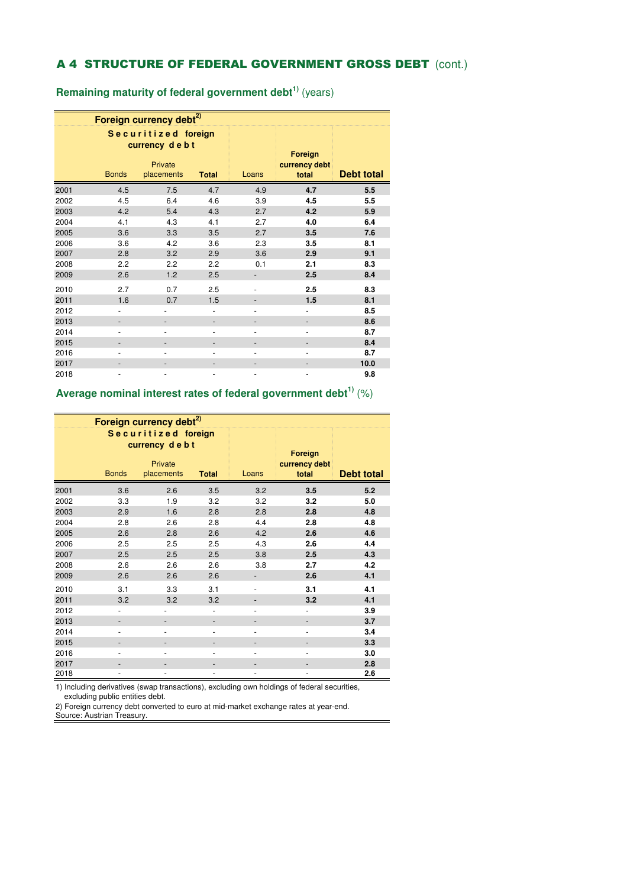## A 4 STRUCTURE OF FEDERAL GOVERNMENT GROSS DEBT (cont.)

|      |                          | Foreign currency debt <sup>2)</sup>  |                              |                              |                          |                   |
|------|--------------------------|--------------------------------------|------------------------------|------------------------------|--------------------------|-------------------|
|      |                          | Securitized foreign<br>currency debt |                              |                              | <b>Foreign</b>           |                   |
|      | <b>Bonds</b>             | Private<br>placements                | <b>Total</b>                 | Loans                        | currency debt<br>total   | <b>Debt total</b> |
|      |                          |                                      |                              |                              |                          |                   |
| 2001 | 4.5                      | 7.5                                  | 4.7                          | 4.9                          | 4.7                      | 5.5               |
| 2002 | 4.5                      | 6.4                                  | 4.6                          | 3.9                          | 4.5                      | 5.5               |
| 2003 | 4.2                      | 5.4                                  | 4.3                          | 2.7                          | 4.2                      | 5.9               |
| 2004 | 4.1                      | 4.3                                  | 4.1                          | 2.7                          | 4.0                      | 6.4               |
| 2005 | 3.6                      | 3.3                                  | 3.5                          | 2.7                          | 3.5                      | 7.6               |
| 2006 | 3.6                      | 4.2                                  | 3.6                          | 2.3                          | 3.5                      | 8.1               |
| 2007 | 2.8                      | 3.2                                  | 2.9                          | 3.6                          | 2.9                      | 9.1               |
| 2008 | 2.2                      | 2.2                                  | 2.2                          | 0.1                          | 2.1                      | 8.3               |
| 2009 | 2.6                      | 1.2                                  | 2.5                          |                              | 2.5                      | 8.4               |
| 2010 | 2.7                      | 0.7                                  | 2.5                          |                              | 2.5                      | 8.3               |
| 2011 | 1.6                      | 0.7                                  | 1.5                          | $\qquad \qquad \blacksquare$ | 1.5                      | 8.1               |
| 2012 | $\overline{\phantom{0}}$ | $\overline{\phantom{a}}$             | $\overline{\phantom{a}}$     | $\overline{\phantom{a}}$     | $\overline{\phantom{0}}$ | 8.5               |
| 2013 | $\overline{\phantom{a}}$ | $\overline{\phantom{a}}$             | $\overline{\phantom{a}}$     | $\qquad \qquad \blacksquare$ | $\overline{\phantom{m}}$ | 8.6               |
| 2014 | $\overline{\phantom{a}}$ | $\overline{\phantom{a}}$             | ٠                            | $\overline{\phantom{a}}$     | $\overline{\phantom{a}}$ | 8.7               |
| 2015 | -                        |                                      |                              | $\overline{\phantom{a}}$     | $\overline{\phantom{a}}$ | 8.4               |
| 2016 | $\overline{\phantom{a}}$ | $\overline{\phantom{a}}$             | $\overline{\phantom{a}}$     | $\overline{\phantom{a}}$     | $\overline{\phantom{a}}$ | 8.7               |
| 2017 | $\overline{\phantom{a}}$ |                                      |                              |                              | -                        | 10.0              |
| 2018 | $\overline{\phantom{a}}$ | $\overline{\phantom{a}}$             | $\qquad \qquad \blacksquare$ | $\overline{\phantom{a}}$     | $\overline{\phantom{a}}$ | 9.8               |

**Remaining maturity of federal government debt1)** (years)

## **Average nominal interest rates of federal government debt1)** (%)

|      |                | Foreign currency debt <sup>2)</sup><br>Securitized foreign<br>currency debt |                              |       | Foreign                      |                   |
|------|----------------|-----------------------------------------------------------------------------|------------------------------|-------|------------------------------|-------------------|
|      | <b>Bonds</b>   | Private<br>placements                                                       | <b>Total</b>                 | Loans | currency debt<br>total       | <b>Debt total</b> |
| 2001 | 3.6            | 2.6                                                                         | 3.5                          | 3.2   | 3.5                          | 5.2               |
| 2002 | 3.3            | 1.9                                                                         | 3.2                          | 3.2   | 3.2                          | 5.0               |
| 2003 | 2.9            | 1.6                                                                         | 2.8                          | 2.8   | 2.8                          | 4.8               |
| 2004 | 2.8            | 2.6                                                                         | 2.8                          | 4.4   | 2.8                          | 4.8               |
| 2005 | 2.6            | 2.8                                                                         | 2.6                          | 4.2   | 2.6                          | 4.6               |
| 2006 | 2.5            | 2.5                                                                         | 2.5                          | 4.3   | 2.6                          | 4.4               |
| 2007 | 2.5            | 2.5                                                                         | 2.5                          | 3.8   | 2.5                          | 4.3               |
| 2008 | 2.6            | 2.6                                                                         | 2.6                          | 3.8   | 2.7                          | 4.2               |
| 2009 | 2.6            | 2.6                                                                         | 2.6                          |       | 2.6                          | 4.1               |
| 2010 | 3.1            | 3.3                                                                         | 3.1                          |       | 3.1                          | 4.1               |
| 2011 | 3.2            | 3.2                                                                         | 3.2                          | -     | 3.2                          | 4.1               |
| 2012 |                |                                                                             |                              |       | $\qquad \qquad \blacksquare$ | 3.9               |
| 2013 |                |                                                                             |                              |       |                              | 3.7               |
| 2014 |                |                                                                             |                              |       |                              | 3.4               |
| 2015 |                |                                                                             |                              |       |                              | 3.3               |
| 2016 | -              |                                                                             | $\qquad \qquad \blacksquare$ | -     | $\qquad \qquad \blacksquare$ | 3.0               |
| 2017 | $\overline{a}$ |                                                                             |                              |       | $\overline{\phantom{a}}$     | 2.8               |
| 2018 |                |                                                                             |                              |       |                              | 2.6               |

1) Including derivatives (swap transactions), excluding own holdings of federal securities, excluding public entities debt.

2) Foreign currency debt converted to euro at mid-market exchange rates at year-end. Source: Austrian Treasury.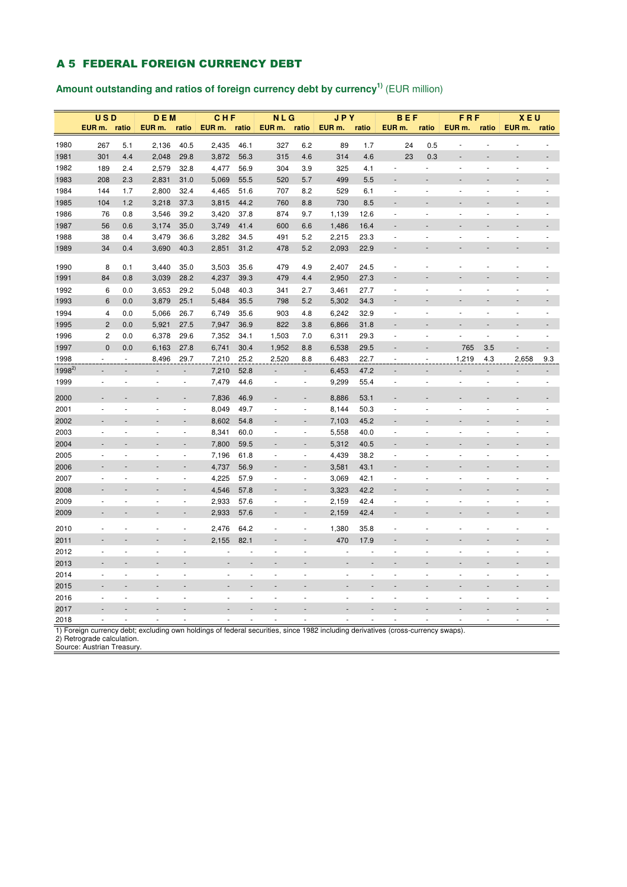#### A 5 FEDERAL FOREIGN CURRENCY DEBT

## **Amount outstanding and ratios of foreign currency debt by currency1)** (EUR million)

|            | <b>USD</b>          |                | <b>DEM</b>        |                              | CHF               |         | <b>NLG</b>     |                | <b>JPY</b> |             | <b>BEF</b>               |       | FRF    |       | <b>XEU</b>         |       |
|------------|---------------------|----------------|-------------------|------------------------------|-------------------|---------|----------------|----------------|------------|-------------|--------------------------|-------|--------|-------|--------------------|-------|
|            | EUR <sub>m.</sub>   | ratio          | EUR <sub>m.</sub> | ratio                        | EUR <sub>m.</sub> | ratio   | EUR m.         | ratio          | EUR m.     | ratio       | EUR <sub>m.</sub>        | ratio | EUR m. | ratio | EUR <sub>m</sub> . | ratio |
| 1980       | 267                 | 5.1            | 2,136             | 40.5                         | 2,435             | 46.1    | 327            | 6.2            | 89         | 1.7         | 24                       | 0.5   | ł,     | ä,    |                    |       |
| 1981       | 301                 | 4.4            | 2,048             | 29.8                         | 3,872             | 56.3    | 315            | 4.6            | 314        | 4.6         | 23                       | 0.3   |        |       |                    |       |
| 1982       | 189                 | 2.4            | 2,579             | 32.8                         | 4,477             | 56.9    | 304            | 3.9            | 325        | 4.1         | ÷,                       | à.    | ä,     | ä,    |                    |       |
| 1983       | 208                 | 2.3            | 2,831             | 31.0                         | 5,069             | 55.5    | 520            | 5.7            | 499        | 5.5         | ÷,                       |       |        |       |                    |       |
| 1984       | 144                 | 1.7            | 2,800             | 32.4                         | 4,465             | 51.6    | 707            | 8.2            | 529        | 6.1         | L.                       | ÷.    | J.     | ä,    |                    |       |
| 1985       | 104                 | 1.2            | 3,218             | 37.3                         | 3,815             | 44.2    | 760            | 8.8            | 730        | 8.5         |                          |       |        |       |                    |       |
| 1986       | 76                  | 0.8            | 3,546             | 39.2                         | 3,420             | 37.8    | 874            | 9.7            | 1,139      | 12.6        | ÷,                       | ź     | J.     | L.    |                    | L.    |
| 1987       | 56                  | 0.6            | 3,174             | 35.0                         | 3,749             | 41.4    | 600            | 6.6            | 1,486      | 16.4        |                          |       |        |       |                    |       |
| 1988       | 38                  | 0.4            | 3,479             | 36.6                         | 3,282             | 34.5    | 491            | 5.2            | 2,215      | 23.3        | ÷,                       | ä,    | ä,     | ä,    |                    | ä,    |
| 1989       | 34                  | 0.4            | 3,690             | 40.3                         | 2,851             | 31.2    | 478            | 5.2            | 2,093      | 22.9        | ÷,                       |       |        | ÷,    |                    |       |
| 1990       | 8                   | 0.1            | 3,440             | 35.0                         | 3,503             | 35.6    | 479            | 4.9            | 2,407      | 24.5        |                          |       |        |       |                    |       |
| 1991       | 84                  | 0.8            | 3,039             | 28.2                         | 4,237             | 39.3    | 479            | 4.4            | 2,950      | 27.3        |                          |       |        |       |                    |       |
| 1992       | 6                   | 0.0            | 3,653             | 29.2                         | 5,048             | 40.3    | 341            | 2.7            | 3,461      | 27.7        | ÷.                       |       |        | L     |                    |       |
| 1993       | 6                   | 0.0            | 3,879             | 25.1                         | 5,484             | 35.5    | 798            | 5.2            | 5,302      | 34.3        |                          |       |        |       |                    |       |
| 1994       | 4                   | 0.0            | 5,066             | 26.7                         | 6,749             | 35.6    | 903            | 4.8            | 6,242      | 32.9        | ×,                       | ÷,    | ł,     | ÷,    | ÷,                 | ä,    |
| 1995       | $\overline{2}$      | 0.0            | 5,921             | 27.5                         | 7,947             | 36.9    | 822            | 3.8            | 6,866      | 31.8        |                          |       |        | ÷,    |                    |       |
| 1996       | $\overline{c}$      | 0.0            | 6,378             | 29.6                         | 7,352             | 34.1    | 1,503          | 7.0            | 6,311      | 29.3        | ÷,                       | L     |        | ä,    |                    |       |
| 1997       | $\mathbf{0}$        | 0.0            | 6,163             | 27.8                         | 6,741             | 30.4    | 1,952          | 8.8            | 6,538      | 29.5        | Ĭ.                       |       | 765    | 3.5   |                    |       |
| 1998       |                     |                | 8,496             | 29.7                         | 7,210             | 25.2    | 2,520          | 8.8            | 6,483      | 22.7        |                          |       | 1,219  | 4.3   | 2,658              | 9.3   |
| $1998^{2}$ | L.                  | ÷.             | L.                | $\Box$                       | 7,210             | 52.8    |                | $\sim$         | 6,453      | 47.2        | J.                       | L     |        | L.    |                    |       |
| 1999       |                     |                | ÷,                | ä,                           | 7,479             | 44.6    | ä,             | ÷,             | 9,299      | 55.4        | J.                       | L     | J.     | J.    | ÷.                 | J.    |
| 2000       |                     |                |                   |                              | 7,836             | 46.9    |                |                | 8,886      | 53.1        |                          |       |        |       |                    |       |
| 2001       |                     |                |                   |                              | 8,049             | 49.7    |                |                | 8,144      | 50.3        |                          |       |        |       |                    |       |
| 2002       |                     |                |                   |                              | 8,602             | 54.8    |                |                | 7,103      | 45.2        |                          |       |        |       |                    |       |
| 2003       | ä,                  | J.             | ä,                | $\blacksquare$               | 8,341             | 60.0    | $\blacksquare$ | $\blacksquare$ | 5,558      | 40.0        | $\blacksquare$           | J.    | ł,     | J.    |                    |       |
| 2004       |                     |                |                   |                              | 7,800             | 59.5    |                |                | 5,312      | 40.5        |                          |       |        |       |                    |       |
| 2005       | L.                  | J.             | ÷,                | ä,                           | 7,196             | 61.8    | ä,             | ä,             | 4,439      | 38.2        | ÷,                       | L     | J.     | L,    |                    |       |
| 2006       |                     |                |                   |                              | 4,737             | 56.9    |                |                | 3,581      | 43.1        |                          |       |        |       |                    |       |
| 2007       | ÷                   | $\overline{a}$ | ÷.                | ÷.                           | 4,225             | 57.9    | ä,             | ÷.             | 3,069      | 42.1        | ÷.                       | ä,    | ÷      | ÷.    |                    | ٠     |
| 2008       |                     |                |                   |                              | 4,546             | 57.8    |                |                | 3,323      | 42.2        |                          |       |        |       |                    |       |
| 2009       |                     |                | ٠                 | ÷,                           | 2,933             | 57.6    | ÷,             | ×,             | 2,159      | 42.4        | ł,                       |       | ä,     | ä,    |                    |       |
| 2009       | ÷,                  |                |                   | ÷,                           | 2,933             | 57.6    | ٠              | ÷              | 2,159      | 42.4        | ÷                        |       |        |       |                    |       |
| 2010       |                     |                |                   |                              | 2,476             | 64.2    |                |                | 1,380      | 35.8        |                          |       |        |       |                    |       |
| 2011       | ÷,                  |                |                   |                              | 2,155             | 82.1    |                |                | 470        | 17.9        |                          |       |        |       |                    |       |
| 2012       | ÷.                  | $\sim$         | ×.                | $\overline{a}$               | ÷.                | ÷.      | ×.             | ÷.             | ÷.         | ÷.          | ÷,                       | ä,    | ÷.     | ÷.    | $\overline{a}$     | ÷.    |
| 2013       |                     |                |                   |                              |                   |         |                |                |            |             |                          |       |        |       |                    |       |
| 2014       | ä,                  | ä,             | ä,                |                              | ä,                | ä,      | ä,             |                | ä,         | ä,          | ÷,                       | ä,    | ä,     | ä,    |                    |       |
| 2015       |                     |                |                   |                              |                   |         |                |                |            |             |                          |       |        |       |                    |       |
| 2016       | ÷.                  |                | ÷.                |                              |                   | ä,      | ä,             |                | ä,         | ÷.          | ä,                       |       | ä,     | ä,    |                    |       |
| 2017       |                     |                |                   |                              |                   |         |                |                |            |             |                          |       |        |       |                    |       |
| 2018       | 1) Enroign ourronay | $Aoh+$         | ovoludina         | $\bigcap_{n \in \mathbb{N}}$ | holdinge          | fodorol | coourition     | 1000           | inoludina  | dorivativos | $\overline{\phantom{a}}$ |       |        |       |                    |       |

es (cross-currency swaps).

2) Retrograde calculation. Source: Austrian Treasury.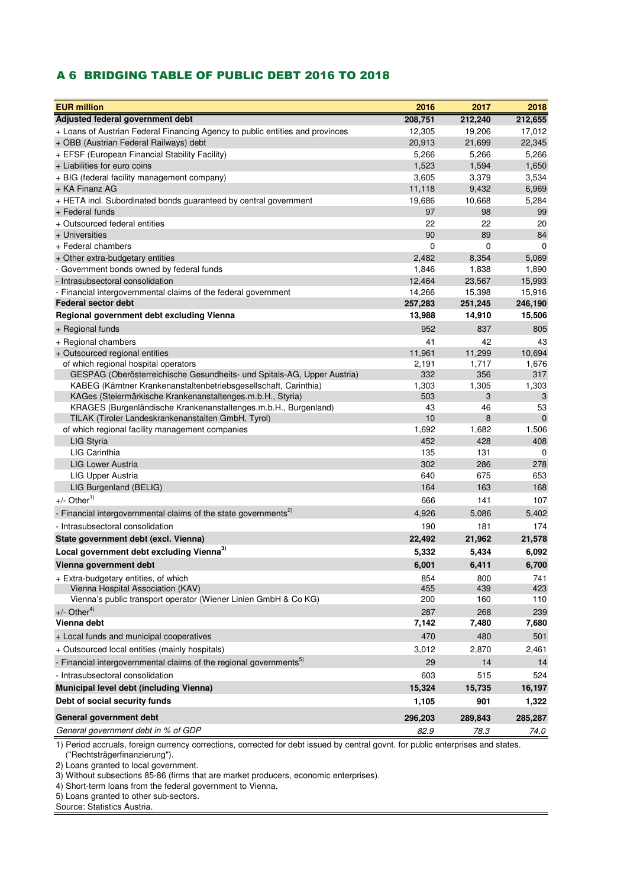#### A 6 BRIDGING TABLE OF PUBLIC DEBT 2016 TO 2018

| 208,751<br>212,240<br>Adjusted federal government debt<br>212,655<br>+ Loans of Austrian Federal Financing Agency to public entities and provinces<br>12,305<br>17,012<br>19,206<br>+ ÖBB (Austrian Federal Railways) debt<br>20,913<br>21,699<br>22,345<br>+ EFSF (European Financial Stability Facility)<br>5,266<br>5,266<br>5,266<br>+ Liabilities for euro coins<br>1,523<br>1,594<br>1,650<br>3,605<br>3,379<br>3,534<br>+ BIG (federal facility management company)<br>+ KA Finanz AG<br>11,118<br>9,432<br>6,969<br>19,686<br>10,668<br>5,284<br>+ HETA incl. Subordinated bonds guaranteed by central government<br>+ Federal funds<br>97<br>98<br>99<br>+ Outsourced federal entities<br>22<br>22<br>20 |
|-------------------------------------------------------------------------------------------------------------------------------------------------------------------------------------------------------------------------------------------------------------------------------------------------------------------------------------------------------------------------------------------------------------------------------------------------------------------------------------------------------------------------------------------------------------------------------------------------------------------------------------------------------------------------------------------------------------------|
|                                                                                                                                                                                                                                                                                                                                                                                                                                                                                                                                                                                                                                                                                                                   |
|                                                                                                                                                                                                                                                                                                                                                                                                                                                                                                                                                                                                                                                                                                                   |
|                                                                                                                                                                                                                                                                                                                                                                                                                                                                                                                                                                                                                                                                                                                   |
|                                                                                                                                                                                                                                                                                                                                                                                                                                                                                                                                                                                                                                                                                                                   |
|                                                                                                                                                                                                                                                                                                                                                                                                                                                                                                                                                                                                                                                                                                                   |
|                                                                                                                                                                                                                                                                                                                                                                                                                                                                                                                                                                                                                                                                                                                   |
|                                                                                                                                                                                                                                                                                                                                                                                                                                                                                                                                                                                                                                                                                                                   |
|                                                                                                                                                                                                                                                                                                                                                                                                                                                                                                                                                                                                                                                                                                                   |
|                                                                                                                                                                                                                                                                                                                                                                                                                                                                                                                                                                                                                                                                                                                   |
|                                                                                                                                                                                                                                                                                                                                                                                                                                                                                                                                                                                                                                                                                                                   |
| 90<br>89<br>84<br>+ Universities                                                                                                                                                                                                                                                                                                                                                                                                                                                                                                                                                                                                                                                                                  |
| + Federal chambers<br>0<br>0                                                                                                                                                                                                                                                                                                                                                                                                                                                                                                                                                                                                                                                                                      |
| 2,482<br>8,354<br>+ Other extra-budgetary entities<br>5,069                                                                                                                                                                                                                                                                                                                                                                                                                                                                                                                                                                                                                                                       |
| - Government bonds owned by federal funds<br>1,846<br>1,838<br>1,890                                                                                                                                                                                                                                                                                                                                                                                                                                                                                                                                                                                                                                              |
| - Intrasubsectoral consolidation<br>12,464<br>23,567<br>15,993                                                                                                                                                                                                                                                                                                                                                                                                                                                                                                                                                                                                                                                    |
| - Financial intergovernmental claims of the federal government<br>14,266<br>15,398<br>15,916                                                                                                                                                                                                                                                                                                                                                                                                                                                                                                                                                                                                                      |
| <b>Federal sector debt</b><br>257,283<br>251,245<br>246,190                                                                                                                                                                                                                                                                                                                                                                                                                                                                                                                                                                                                                                                       |
| 13,988<br>14,910<br>15,506<br>Regional government debt excluding Vienna                                                                                                                                                                                                                                                                                                                                                                                                                                                                                                                                                                                                                                           |
| + Regional funds<br>952<br>805<br>837                                                                                                                                                                                                                                                                                                                                                                                                                                                                                                                                                                                                                                                                             |
| 41<br>42<br>43<br>+ Regional chambers                                                                                                                                                                                                                                                                                                                                                                                                                                                                                                                                                                                                                                                                             |
| + Outsourced regional entities<br>11,961<br>11,299<br>10,694                                                                                                                                                                                                                                                                                                                                                                                                                                                                                                                                                                                                                                                      |
| of which regional hospital operators<br>2,191<br>1,717<br>1,676                                                                                                                                                                                                                                                                                                                                                                                                                                                                                                                                                                                                                                                   |
| GESPAG (Oberösterreichische Gesundheits- und Spitals-AG, Upper Austria)<br>332<br>356<br>317                                                                                                                                                                                                                                                                                                                                                                                                                                                                                                                                                                                                                      |
| KABEG (Kärntner Krankenanstaltenbetriebsgesellschaft, Carinthia)<br>1,303<br>1,305<br>1,303                                                                                                                                                                                                                                                                                                                                                                                                                                                                                                                                                                                                                       |
| KAGes (Steiermärkische Krankenanstaltenges.m.b.H., Styria)<br>503<br>3<br>3                                                                                                                                                                                                                                                                                                                                                                                                                                                                                                                                                                                                                                       |
| KRAGES (Burgenländische Krankenanstaltenges.m.b.H., Burgenland)<br>43<br>46<br>53                                                                                                                                                                                                                                                                                                                                                                                                                                                                                                                                                                                                                                 |
| 10<br>TILAK (Tiroler Landeskrankenanstalten GmbH, Tyrol)<br>8                                                                                                                                                                                                                                                                                                                                                                                                                                                                                                                                                                                                                                                     |
| of which regional facility management companies<br>1,692<br>1,506<br>1,682<br>452<br>428<br>408                                                                                                                                                                                                                                                                                                                                                                                                                                                                                                                                                                                                                   |
| LIG Styria<br>LIG Carinthia<br>135<br>131                                                                                                                                                                                                                                                                                                                                                                                                                                                                                                                                                                                                                                                                         |
| 302<br><b>LIG Lower Austria</b><br>286<br>278                                                                                                                                                                                                                                                                                                                                                                                                                                                                                                                                                                                                                                                                     |
| LIG Upper Austria<br>640<br>675<br>653                                                                                                                                                                                                                                                                                                                                                                                                                                                                                                                                                                                                                                                                            |
| LIG Burgenland (BELIG)<br>164<br>163<br>168                                                                                                                                                                                                                                                                                                                                                                                                                                                                                                                                                                                                                                                                       |
| $+/-$ Other <sup>1)</sup><br>141<br>666<br>107                                                                                                                                                                                                                                                                                                                                                                                                                                                                                                                                                                                                                                                                    |
|                                                                                                                                                                                                                                                                                                                                                                                                                                                                                                                                                                                                                                                                                                                   |
| - Financial intergovernmental claims of the state governments <sup>2)</sup><br>4,926<br>5,402<br>5,086                                                                                                                                                                                                                                                                                                                                                                                                                                                                                                                                                                                                            |
| - Intrasubsectoral consolidation<br>190<br>181<br>174                                                                                                                                                                                                                                                                                                                                                                                                                                                                                                                                                                                                                                                             |
| 22,492<br>21,962<br>State government debt (excl. Vienna)<br>21,578                                                                                                                                                                                                                                                                                                                                                                                                                                                                                                                                                                                                                                                |
| Local government debt excluding Vienna <sup>3)</sup><br>5,332<br>6,092<br>5,434                                                                                                                                                                                                                                                                                                                                                                                                                                                                                                                                                                                                                                   |
| 6,700<br>Vienna government debt<br>6,001<br>6,411                                                                                                                                                                                                                                                                                                                                                                                                                                                                                                                                                                                                                                                                 |
| + Extra-budgetary entities, of which<br>854<br>741<br>800                                                                                                                                                                                                                                                                                                                                                                                                                                                                                                                                                                                                                                                         |
| Vienna Hospital Association (KAV)<br>423<br>455<br>439                                                                                                                                                                                                                                                                                                                                                                                                                                                                                                                                                                                                                                                            |
| Vienna's public transport operator (Wiener Linien GmbH & Co KG)<br>200<br>160<br>110                                                                                                                                                                                                                                                                                                                                                                                                                                                                                                                                                                                                                              |
| $+/-$ Other <sup>4)</sup><br>287<br>268<br>239                                                                                                                                                                                                                                                                                                                                                                                                                                                                                                                                                                                                                                                                    |
| Vienna debt<br>7,142<br>7,480<br>7,680                                                                                                                                                                                                                                                                                                                                                                                                                                                                                                                                                                                                                                                                            |
| + Local funds and municipal cooperatives<br>470<br>480<br>501                                                                                                                                                                                                                                                                                                                                                                                                                                                                                                                                                                                                                                                     |
| + Outsourced local entities (mainly hospitals)<br>3,012<br>2,870<br>2,461                                                                                                                                                                                                                                                                                                                                                                                                                                                                                                                                                                                                                                         |
| - Financial intergovernmental claims of the regional governments <sup>5)</sup><br>29<br>14<br>14                                                                                                                                                                                                                                                                                                                                                                                                                                                                                                                                                                                                                  |
| 524<br>- Intrasubsectoral consolidation<br>603<br>515                                                                                                                                                                                                                                                                                                                                                                                                                                                                                                                                                                                                                                                             |
| 15,324<br>Municipal level debt (including Vienna)<br>15,735<br>16,197                                                                                                                                                                                                                                                                                                                                                                                                                                                                                                                                                                                                                                             |
| Debt of social security funds<br>1,105<br>901<br>1,322                                                                                                                                                                                                                                                                                                                                                                                                                                                                                                                                                                                                                                                            |
| General government debt<br>285,287<br>296,203<br>289,843                                                                                                                                                                                                                                                                                                                                                                                                                                                                                                                                                                                                                                                          |
| General government debt in % of GDP<br>82.9<br>78.3<br>74.0                                                                                                                                                                                                                                                                                                                                                                                                                                                                                                                                                                                                                                                       |

1) Period accruals, foreign currency corrections, corrected for debt issued by central govnt. for public enterprises and states. ("Rechtsträgerfinanzierung").

2) Loans granted to local government.

3) Without subsections 85-86 (firms that are market producers, economic enterprises).

4) Short-term loans from the federal government to Vienna.

5) Loans granted to other sub-sectors.

Source: Statistics Austria.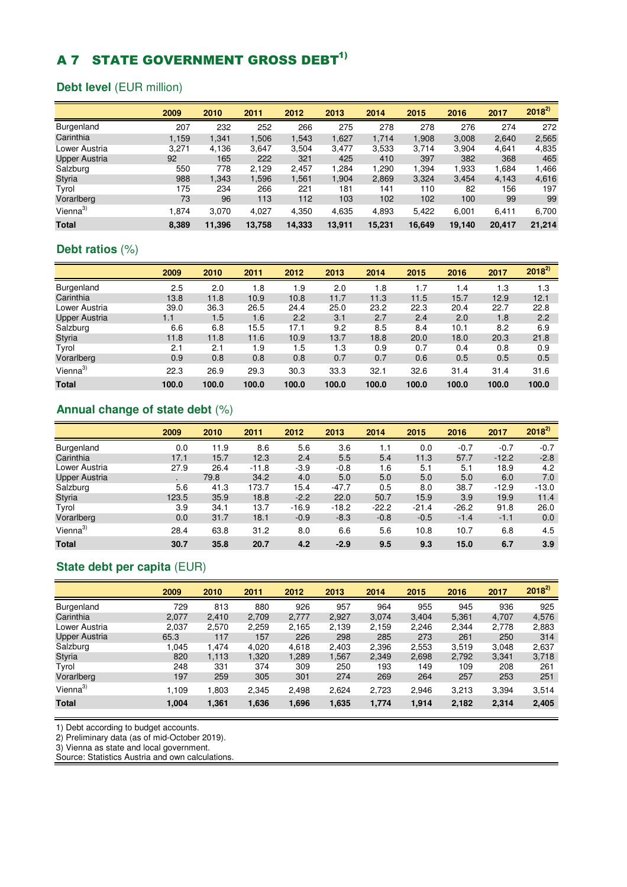# **A 7 STATE GOVERNMENT GROSS DEBT<sup>1)</sup>**

#### **Debt level** (EUR million)

|                      | 2009  | 2010   | 2011   | 2012   | 2013   | 2014   | 2015   | 2016   | 2017   | $2018^{2}$ |
|----------------------|-------|--------|--------|--------|--------|--------|--------|--------|--------|------------|
| Burgenland           | 207   | 232    | 252    | 266    | 275    | 278    | 278    | 276    | 274    | 272        |
| Carinthia            | 1.159 | 1,341  | 1,506  | 1,543  | 1,627  | 1,714  | 1,908  | 3,008  | 2,640  | 2,565      |
| Lower Austria        | 3.271 | 4,136  | 3.647  | 3.504  | 3.477  | 3,533  | 3,714  | 3,904  | 4.641  | 4,835      |
| <b>Upper Austria</b> | 92    | 165    | 222    | 321    | 425    | 410    | 397    | 382    | 368    | 465        |
| Salzburg             | 550   | 778    | 2.129  | 2.457  | 1,284  | 1.290  | 1,394  | 1,933  | 1,684  | 1,466      |
| Styria               | 988   | 1.343  | 1,596  | 1,561  | 1.904  | 2,869  | 3,324  | 3.454  | 4,143  | 4,616      |
| Tyrol                | 175   | 234    | 266    | 221    | 181    | 141    | 110    | 82     | 156    | 197        |
| Vorarlberg           | 73    | 96     | 113    | 112    | 103    | 102    | 102    | 100    | 99     | 99         |
| Vienna <sup>3)</sup> | 1.874 | 3.070  | 4.027  | 4,350  | 4,635  | 4,893  | 5,422  | 6.001  | 6.411  | 6,700      |
| <b>Total</b>         | 8,389 | 11,396 | 13,758 | 14,333 | 13,911 | 15,231 | 16,649 | 19,140 | 20,417 | 21,214     |

## **Debt ratios** (%)

|                      | 2009  | 2010  | 2011  | 2012  | 2013  | 2014  | 2015  | 2016  | 2017  | $2018^{2}$ |
|----------------------|-------|-------|-------|-------|-------|-------|-------|-------|-------|------------|
| Burgenland           | 2.5   | 2.0   | 1.8   | 1.9   | 2.0   | 1.8   | 1.7   | 1.4   | 1.3   | 1.3        |
| Carinthia            | 13.8  | 11.8  | 10.9  | 10.8  | 11.7  | 11.3  | 11.5  | 15.7  | 12.9  | 12.1       |
| Lower Austria        | 39.0  | 36.3  | 26.5  | 24.4  | 25.0  | 23.2  | 22.3  | 20.4  | 22.7  | 22.8       |
| <b>Upper Austria</b> | 1.1   | 1.5   | 1.6   | 2.2   | 3.1   | 2.7   | 2.4   | 2.0   | 1.8   | 2.2        |
| Salzburg             | 6.6   | 6.8   | 15.5  | 17.1  | 9.2   | 8.5   | 8.4   | 10.1  | 8.2   | 6.9        |
| Styria               | 11.8  | 11.8  | 11.6  | 10.9  | 13.7  | 18.8  | 20.0  | 18.0  | 20.3  | 21.8       |
| Tyrol                | 2.1   | 2.1   | 1.9   | 1.5   | 1.3   | 0.9   | 0.7   | 0.4   | 0.8   | 0.9        |
| Vorarlberg           | 0.9   | 0.8   | 0.8   | 0.8   | 0.7   | 0.7   | 0.6   | 0.5   | 0.5   | 0.5        |
| Vienna $3)$          | 22.3  | 26.9  | 29.3  | 30.3  | 33.3  | 32.1  | 32.6  | 31.4  | 31.4  | 31.6       |
| <b>Total</b>         | 100.0 | 100.0 | 100.0 | 100.0 | 100.0 | 100.0 | 100.0 | 100.0 | 100.0 | 100.0      |

## **Annual change of state debt** (%)

|                      | 2009  | 2010 | 2011    | 2012    | 2013    | 2014    | 2015    | 2016    | 2017    | $2018^{2}$ |
|----------------------|-------|------|---------|---------|---------|---------|---------|---------|---------|------------|
| Burgenland           | 0.0   | 11.9 | 8.6     | 5.6     | 3.6     | 1.1     | 0.0     | $-0.7$  | $-0.7$  | $-0.7$     |
| Carinthia            | 17.1  | 15.7 | 12.3    | 2.4     | 5.5     | 5.4     | 11.3    | 57.7    | $-12.2$ | $-2.8$     |
| Lower Austria        | 27.9  | 26.4 | $-11.8$ | -3.9    | $-0.8$  | 1.6     | 5.1     | 5.1     | 18.9    | 4.2        |
| <b>Upper Austria</b> |       | 79.8 | 34.2    | 4.0     | 5.0     | 5.0     | 5.0     | 5.0     | 6.0     | 7.0        |
| Salzburg             | 5.6   | 41.3 | 173.7   | 15.4    | $-47.7$ | 0.5     | 8.0     | 38.7    | $-12.9$ | $-13.0$    |
| Styria               | 123.5 | 35.9 | 18.8    | $-2.2$  | 22.0    | 50.7    | 15.9    | 3.9     | 19.9    | 11.4       |
| Tyrol                | 3.9   | 34.1 | 13.7    | $-16.9$ | $-18.2$ | $-22.2$ | $-21.4$ | $-26.2$ | 91.8    | 26.0       |
| Vorarlberg           | 0.0   | 31.7 | 18.1    | $-0.9$  | $-8.3$  | $-0.8$  | $-0.5$  | $-1.4$  | $-1.1$  | 0.0        |
| Vienna $3)$          | 28.4  | 63.8 | 31.2    | 8.0     | 6.6     | 5.6     | 10.8    | 10.7    | 6.8     | 4.5        |
| <b>Total</b>         | 30.7  | 35.8 | 20.7    | 4.2     | $-2.9$  | 9.5     | 9.3     | 15.0    | 6.7     | 3.9        |

## **State debt per capita** (EUR)

|                      | 2009  | 2010  | 2011  | 2012  | 2013  | 2014  | 2015  | 2016  | 2017  | $2018^{2}$ |
|----------------------|-------|-------|-------|-------|-------|-------|-------|-------|-------|------------|
| Burgenland           | 729   | 813   | 880   | 926   | 957   | 964   | 955   | 945   | 936   | 925        |
| Carinthia            | 2,077 | 2.410 | 2,709 | 2,777 | 2.927 | 3.074 | 3.404 | 5.361 | 4.707 | 4,576      |
| Lower Austria        | 2.037 | 2,570 | 2,259 | 2,165 | 2,139 | 2,159 | 2,246 | 2,344 | 2,778 | 2,883      |
| <b>Upper Austria</b> | 65.3  | 117   | 157   | 226   | 298   | 285   | 273   | 261   | 250   | 314        |
| Salzburg             | 1.045 | 1.474 | 4,020 | 4.618 | 2.403 | 2,396 | 2,553 | 3,519 | 3.048 | 2,637      |
| <b>Styria</b>        | 820   | 1,113 | 1,320 | 1,289 | 1,567 | 2,349 | 2,698 | 2,792 | 3,341 | 3,718      |
| Tyrol                | 248   | 331   | 374   | 309   | 250   | 193   | 149   | 109   | 208   | 261        |
| Vorarlberg           | 197   | 259   | 305   | 301   | 274   | 269   | 264   | 257   | 253   | 251        |
| Vienna $3)$          | 1.109 | 1.803 | 2,345 | 2,498 | 2,624 | 2,723 | 2,946 | 3,213 | 3,394 | 3,514      |
| <b>Total</b>         | 1,004 | 1,361 | 1,636 | 1,696 | 1,635 | 1,774 | 1,914 | 2,182 | 2,314 | 2,405      |

1) Debt according to budget accounts.

2) Preliminary data (as of mid-October 2019).

3) Vienna as state and local government.

Source: Statistics Austria and own calculations.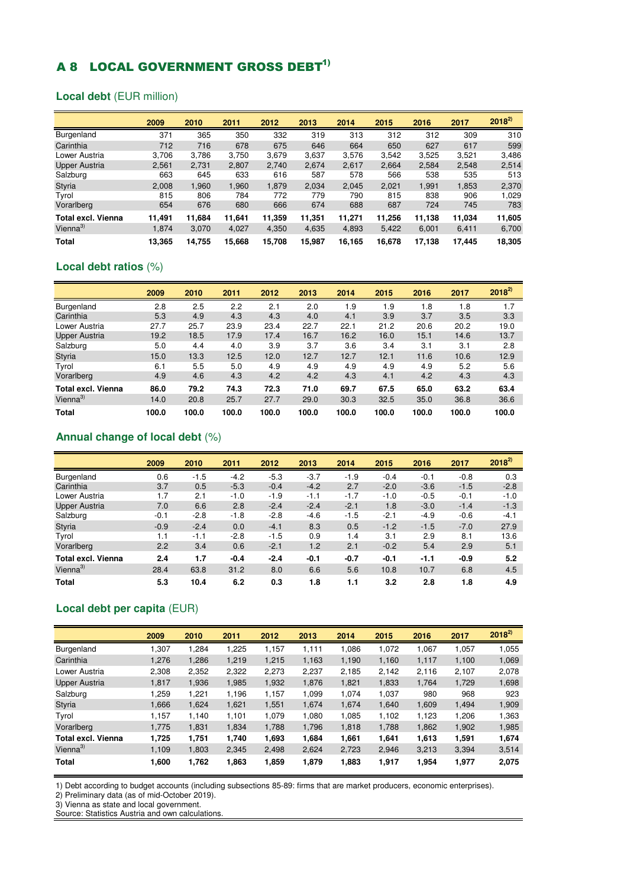## A 8 LOCAL GOVERNMENT GROSS DEBT<sup>1)</sup>

#### **Local debt** (EUR million)

|                           | 2009   | 2010   | 2011   | 2012   | 2013   | 2014   | 2015   | 2016   | 2017   | $2018^{2}$ |
|---------------------------|--------|--------|--------|--------|--------|--------|--------|--------|--------|------------|
| Burgenland                | 371    | 365    | 350    | 332    | 319    | 313    | 312    | 312    | 309    | 310        |
| Carinthia                 | 712    | 716    | 678    | 675    | 646    | 664    | 650    | 627    | 617    | 599        |
| Lower Austria             | 3,706  | 3,786  | 3,750  | 3,679  | 3,637  | 3.576  | 3.542  | 3,525  | 3.521  | 3,486      |
| <b>Upper Austria</b>      | 2,561  | 2,731  | 2,807  | 2,740  | 2,674  | 2,617  | 2,664  | 2,584  | 2,548  | 2,514      |
| Salzburg                  | 663    | 645    | 633    | 616    | 587    | 578    | 566    | 538    | 535    | 513        |
| <b>Styria</b>             | 2,008  | 1,960  | 1,960  | 1,879  | 2.034  | 2.045  | 2.021  | 1.991  | 1.853  | 2,370      |
| Tyrol                     | 815    | 806    | 784    | 772    | 779    | 790    | 815    | 838    | 906    | 1,029      |
| Vorarlberg                | 654    | 676    | 680    | 666    | 674    | 688    | 687    | 724    | 745    | 783        |
| <b>Total excl. Vienna</b> | 11,491 | 11,684 | 11,641 | 11,359 | 11,351 | 11,271 | 11.256 | 11,138 | 11,034 | 11,605     |
| Vienna $3)$               | 1.874  | 3,070  | 4,027  | 4,350  | 4,635  | 4,893  | 5.422  | 6,001  | 6.411  | 6,700      |
| <b>Total</b>              | 13.365 | 14.755 | 15,668 | 15.708 | 15.987 | 16.165 | 16,678 | 17.138 | 17.445 | 18,305     |

#### **Local debt ratios** (%)

|                           | 2009  | 2010  | 2011  | 2012  | 2013  | 2014  | 2015  | 2016  | 2017  | $2018^{2}$ |
|---------------------------|-------|-------|-------|-------|-------|-------|-------|-------|-------|------------|
| Burgenland                | 2.8   | 2.5   | 2.2   | 2.1   | 2.0   | 1.9   | 1.9   | 1.8   | 1.8   | 1.7        |
| Carinthia                 | 5.3   | 4.9   | 4.3   | 4.3   | 4.0   | 4.1   | 3.9   | 3.7   | 3.5   | 3.3        |
| Lower Austria             | 27.7  | 25.7  | 23.9  | 23.4  | 22.7  | 22.1  | 21.2  | 20.6  | 20.2  | 19.0       |
| <b>Upper Austria</b>      | 19.2  | 18.5  | 17.9  | 17.4  | 16.7  | 16.2  | 16.0  | 15.1  | 14.6  | 13.7       |
| Salzburg                  | 5.0   | 4.4   | 4.0   | 3.9   | 3.7   | 3.6   | 3.4   | 3.1   | 3.1   | 2.8        |
| <b>Styria</b>             | 15.0  | 13.3  | 12.5  | 12.0  | 12.7  | 12.7  | 12.1  | 11.6  | 10.6  | 12.9       |
| Tyrol                     | 6.1   | 5.5   | 5.0   | 4.9   | 4.9   | 4.9   | 4.9   | 4.9   | 5.2   | 5.6        |
| Vorarlberg                | 4.9   | 4.6   | 4.3   | 4.2   | 4.2   | 4.3   | 4.1   | 4.2   | 4.3   | 4.3        |
| <b>Total excl. Vienna</b> | 86.0  | 79.2  | 74.3  | 72.3  | 71.0  | 69.7  | 67.5  | 65.0  | 63.2  | 63.4       |
| Vienna $3)$               | 14.0  | 20.8  | 25.7  | 27.7  | 29.0  | 30.3  | 32.5  | 35.0  | 36.8  | 36.6       |
| <b>Total</b>              | 100.0 | 100.0 | 100.0 | 100.0 | 100.0 | 100.0 | 100.0 | 100.0 | 100.0 | 100.0      |

#### **Annual change of local debt** (%)

|                           | 2009   | 2010   | 2011   | 2012   | 2013   | 2014   | 2015   | 2016   | 2017   | $2018^{2}$ |
|---------------------------|--------|--------|--------|--------|--------|--------|--------|--------|--------|------------|
| Burgenland                | 0.6    | $-1.5$ | $-4.2$ | $-5.3$ | $-3.7$ | $-1.9$ | $-0.4$ | $-0.1$ | $-0.8$ | 0.3        |
| Carinthia                 | 3.7    | 0.5    | $-5.3$ | $-0.4$ | $-4.2$ | 2.7    | $-2.0$ | $-3.6$ | $-1.5$ | $-2.8$     |
| Lower Austria             | 1.7    | 2.1    | $-1.0$ | $-1.9$ | $-1.1$ | $-1.7$ | $-1.0$ | $-0.5$ | $-0.1$ | $-1.0$     |
| <b>Upper Austria</b>      | 7.0    | 6.6    | 2.8    | $-2.4$ | $-2.4$ | $-2.1$ | 1.8    | $-3.0$ | $-1.4$ | $-1.3$     |
| Salzburg                  | $-0.1$ | $-2.8$ | $-1.8$ | $-2.8$ | $-4.6$ | $-1.5$ | $-2.1$ | $-4.9$ | $-0.6$ | $-4.1$     |
| <b>Styria</b>             | $-0.9$ | $-2.4$ | 0.0    | $-4.1$ | 8.3    | 0.5    | $-1.2$ | $-1.5$ | $-7.0$ | 27.9       |
| Tyrol                     | 1.1    | -1.1   | $-2.8$ | $-1.5$ | 0.9    | 1.4    | 3.1    | 2.9    | 8.1    | 13.6       |
| Vorarlberg                | 2.2    | 3.4    | 0.6    | $-2.1$ | 1.2    | 2.1    | $-0.2$ | 5.4    | 2.9    | 5.1        |
| <b>Total excl. Vienna</b> | 2.4    | 1.7    | $-0.4$ | $-2.4$ | $-0.1$ | $-0.7$ | $-0.1$ | $-1.1$ | $-0.9$ | 5.2        |
| Vienna $3)$               | 28.4   | 63.8   | 31.2   | 8.0    | 6.6    | 5.6    | 10.8   | 10.7   | 6.8    | 4.5        |
| <b>Total</b>              | 5.3    | 10.4   | 6.2    | 0.3    | 1.8    | 1.1    | 3.2    | 2.8    | 1.8    | 4.9        |

#### **Local debt per capita** (EUR)

|                           | 2009  | 2010  | 2011  | 2012  | 2013  | 2014  | 2015  | 2016  | 2017  | $2018^{2}$ |
|---------------------------|-------|-------|-------|-------|-------|-------|-------|-------|-------|------------|
| Burgenland                | 1.307 | 1.284 | 1,225 | 1.157 | 1,111 | 1.086 | 1,072 | 1,067 | 1,057 | 1,055      |
| Carinthia                 | 1.276 | 1,286 | 1,219 | 1,215 | 1,163 | 1,190 | 1,160 | 1,117 | 1,100 | 1,069      |
| Lower Austria             | 2,308 | 2,352 | 2,322 | 2,273 | 2,237 | 2,185 | 2,142 | 2,116 | 2,107 | 2,078      |
| <b>Upper Austria</b>      | 1,817 | 1,936 | 1,985 | 1,932 | 1,876 | 1,821 | 1,833 | 1,764 | 1,729 | 1,698      |
| Salzburg                  | 1,259 | 1,221 | 1,196 | 1,157 | 1,099 | 1,074 | 1,037 | 980   | 968   | 923        |
| Styria                    | 1.666 | 1.624 | 1,621 | 1,551 | 1.674 | 1.674 | 1.640 | 1.609 | 1.494 | 1,909      |
| Tyrol                     | 1.157 | 1.140 | 1.101 | 1,079 | 1,080 | 1.085 | 1,102 | 1,123 | 1.206 | 1,363      |
| Vorarlberg                | 1.775 | 1.831 | 1.834 | 1.788 | 1.796 | 1.818 | 1.788 | 1.862 | 1.902 | 1,985      |
| <b>Total excl. Vienna</b> | 1,725 | 1,751 | 1,740 | 1,693 | 1.684 | 1.661 | 1,641 | 1,613 | 1,591 | 1,674      |
| Vienna $3)$               | 1,109 | 1,803 | 2,345 | 2,498 | 2,624 | 2,723 | 2,946 | 3,213 | 3,394 | 3,514      |
| <b>Total</b>              | 1,600 | 1,762 | 1,863 | 1,859 | 1,879 | 1,883 | 1,917 | 1,954 | 1,977 | 2,075      |

1) Debt according to budget accounts (including subsections 85-89: firms that are market producers, economic enterprises).

2) Preliminary data (as of mid-October 2019).

3) Vienna as state and local government.

Source: Statistics Austria and own calculations.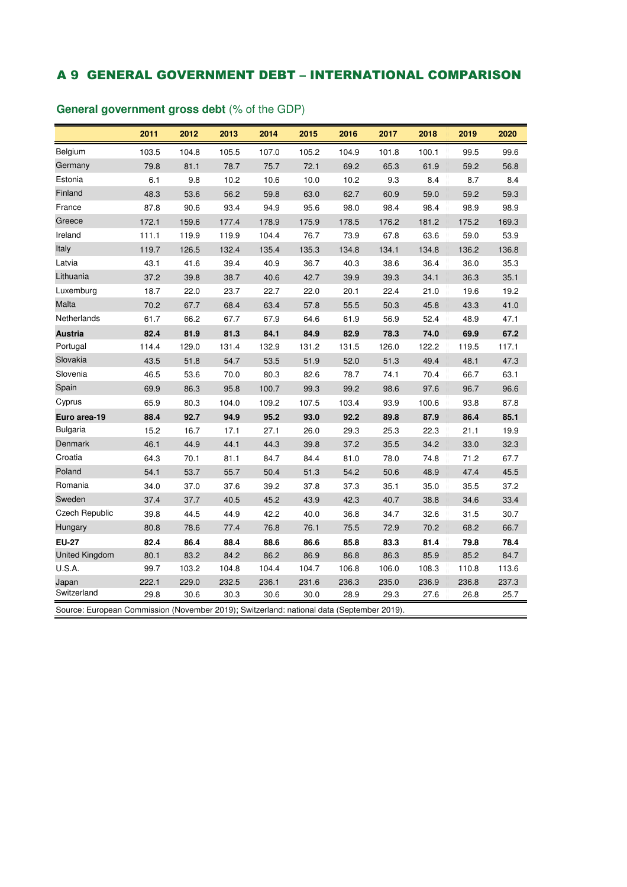## A 9 GENERAL GOVERNMENT DEBT – INTERNATIONAL COMPARISON

|                                                                                           | 2011  | 2012  | 2013  | 2014  | 2015  | 2016  | 2017  | 2018  | 2019  | 2020  |
|-------------------------------------------------------------------------------------------|-------|-------|-------|-------|-------|-------|-------|-------|-------|-------|
| Belgium                                                                                   | 103.5 | 104.8 | 105.5 | 107.0 | 105.2 | 104.9 | 101.8 | 100.1 | 99.5  | 99.6  |
| Germany                                                                                   | 79.8  | 81.1  | 78.7  | 75.7  | 72.1  | 69.2  | 65.3  | 61.9  | 59.2  | 56.8  |
| Estonia                                                                                   | 6.1   | 9.8   | 10.2  | 10.6  | 10.0  | 10.2  | 9.3   | 8.4   | 8.7   | 8.4   |
| Finland                                                                                   | 48.3  | 53.6  | 56.2  | 59.8  | 63.0  | 62.7  | 60.9  | 59.0  | 59.2  | 59.3  |
| France                                                                                    | 87.8  | 90.6  | 93.4  | 94.9  | 95.6  | 98.0  | 98.4  | 98.4  | 98.9  | 98.9  |
| Greece                                                                                    | 172.1 | 159.6 | 177.4 | 178.9 | 175.9 | 178.5 | 176.2 | 181.2 | 175.2 | 169.3 |
| Ireland                                                                                   | 111.1 | 119.9 | 119.9 | 104.4 | 76.7  | 73.9  | 67.8  | 63.6  | 59.0  | 53.9  |
| Italy                                                                                     | 119.7 | 126.5 | 132.4 | 135.4 | 135.3 | 134.8 | 134.1 | 134.8 | 136.2 | 136.8 |
| Latvia                                                                                    | 43.1  | 41.6  | 39.4  | 40.9  | 36.7  | 40.3  | 38.6  | 36.4  | 36.0  | 35.3  |
| Lithuania                                                                                 | 37.2  | 39.8  | 38.7  | 40.6  | 42.7  | 39.9  | 39.3  | 34.1  | 36.3  | 35.1  |
| Luxemburg                                                                                 | 18.7  | 22.0  | 23.7  | 22.7  | 22.0  | 20.1  | 22.4  | 21.0  | 19.6  | 19.2  |
| Malta                                                                                     | 70.2  | 67.7  | 68.4  | 63.4  | 57.8  | 55.5  | 50.3  | 45.8  | 43.3  | 41.0  |
| Netherlands                                                                               | 61.7  | 66.2  | 67.7  | 67.9  | 64.6  | 61.9  | 56.9  | 52.4  | 48.9  | 47.1  |
| <b>Austria</b>                                                                            | 82.4  | 81.9  | 81.3  | 84.1  | 84.9  | 82.9  | 78.3  | 74.0  | 69.9  | 67.2  |
| Portugal                                                                                  | 114.4 | 129.0 | 131.4 | 132.9 | 131.2 | 131.5 | 126.0 | 122.2 | 119.5 | 117.1 |
| Slovakia                                                                                  | 43.5  | 51.8  | 54.7  | 53.5  | 51.9  | 52.0  | 51.3  | 49.4  | 48.1  | 47.3  |
| Slovenia                                                                                  | 46.5  | 53.6  | 70.0  | 80.3  | 82.6  | 78.7  | 74.1  | 70.4  | 66.7  | 63.1  |
| Spain                                                                                     | 69.9  | 86.3  | 95.8  | 100.7 | 99.3  | 99.2  | 98.6  | 97.6  | 96.7  | 96.6  |
| Cyprus                                                                                    | 65.9  | 80.3  | 104.0 | 109.2 | 107.5 | 103.4 | 93.9  | 100.6 | 93.8  | 87.8  |
| Euro area-19                                                                              | 88.4  | 92.7  | 94.9  | 95.2  | 93.0  | 92.2  | 89.8  | 87.9  | 86.4  | 85.1  |
| <b>Bulgaria</b>                                                                           | 15.2  | 16.7  | 17.1  | 27.1  | 26.0  | 29.3  | 25.3  | 22.3  | 21.1  | 19.9  |
| <b>Denmark</b>                                                                            | 46.1  | 44.9  | 44.1  | 44.3  | 39.8  | 37.2  | 35.5  | 34.2  | 33.0  | 32.3  |
| Croatia                                                                                   | 64.3  | 70.1  | 81.1  | 84.7  | 84.4  | 81.0  | 78.0  | 74.8  | 71.2  | 67.7  |
| Poland                                                                                    | 54.1  | 53.7  | 55.7  | 50.4  | 51.3  | 54.2  | 50.6  | 48.9  | 47.4  | 45.5  |
| Romania                                                                                   | 34.0  | 37.0  | 37.6  | 39.2  | 37.8  | 37.3  | 35.1  | 35.0  | 35.5  | 37.2  |
| Sweden                                                                                    | 37.4  | 37.7  | 40.5  | 45.2  | 43.9  | 42.3  | 40.7  | 38.8  | 34.6  | 33.4  |
| Czech Republic                                                                            | 39.8  | 44.5  | 44.9  | 42.2  | 40.0  | 36.8  | 34.7  | 32.6  | 31.5  | 30.7  |
| Hungary                                                                                   | 80.8  | 78.6  | 77.4  | 76.8  | 76.1  | 75.5  | 72.9  | 70.2  | 68.2  | 66.7  |
| <b>EU-27</b>                                                                              | 82.4  | 86.4  | 88.4  | 88.6  | 86.6  | 85.8  | 83.3  | 81.4  | 79.8  | 78.4  |
| <b>United Kingdom</b>                                                                     | 80.1  | 83.2  | 84.2  | 86.2  | 86.9  | 86.8  | 86.3  | 85.9  | 85.2  | 84.7  |
| U.S.A.                                                                                    | 99.7  | 103.2 | 104.8 | 104.4 | 104.7 | 106.8 | 106.0 | 108.3 | 110.8 | 113.6 |
| Japan                                                                                     | 222.1 | 229.0 | 232.5 | 236.1 | 231.6 | 236.3 | 235.0 | 236.9 | 236.8 | 237.3 |
| Switzerland                                                                               | 29.8  | 30.6  | 30.3  | 30.6  | 30.0  | 28.9  | 29.3  | 27.6  | 26.8  | 25.7  |
| Source: European Commission (November 2019); Switzerland: national data (September 2019). |       |       |       |       |       |       |       |       |       |       |

## **General government gross debt** (% of the GDP)